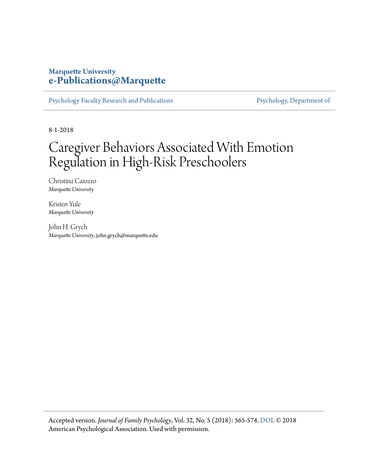## **Marquette University [e-Publications@Marquette](https://epublications.marquette.edu/)**

[Psychology Faculty Research and Publications](https://epublications.marquette.edu/psych_fac) [Psychology, Department of](https://epublications.marquette.edu/psychology)

8-1-2018

## Caregiver Behaviors Associated With Emotion Regulation in High-Risk Preschoolers

Christina Caiozzo *Marquette University*

Kristen Yule *Marquette University*

John H. Grych *Marquette University*, john.grych@marquette.edu

Accepted version. *Journal of Family Psychology*, Vol. 32, No. 5 (2018): 565-574. [DOI](http://dx.doi.org/10.1037/fam0000425). © 2018 American Psychological Association. Used with permission.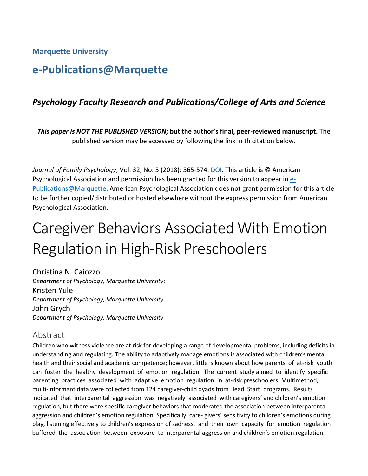**Marquette University**

## **e-Publications@Marquette**

## *Psychology Faculty Research and Publications/College of Arts and Science*

*This paper is NOT THE PUBLISHED VERSION;* **but the author's final, peer-reviewed manuscript.** The published version may be accessed by following the link in th citation below.

*Journal of Family Psychology*, Vol. 32, No. 5 (2018): 565-574[. DOI.](http://dx.doi.org/10.1037/fam0000425) This article is © American Psychological Association and permission has been granted for this version to appear i[n e-](http://epublications.marquette.edu/)[Publications@Marquette.](http://epublications.marquette.edu/) American Psychological Association does not grant permission for this article to be further copied/distributed or hosted elsewhere without the express permission from American Psychological Association.

# Caregiver Behaviors Associated With Emotion Regulation in High-Risk Preschoolers

Christina N. Caiozzo *Department of Psychology, Marquette University*; Kristen Yule *Department of Psychology, Marquette University* John Grych *Department of Psychology, Marquette University*

## Abstract

Children who witness violence are at risk for developing a range of developmental problems, including deficits in understanding and regulating. The ability to adaptively manage emotions is associated with children's mental health and their social and academic competence; however, little is known about how parents of at-risk youth can foster the healthy development of emotion regulation. The current study aimed to identify specific parenting practices associated with adaptive emotion regulation in at-risk preschoolers. Multimethod, multi-informant data were collected from 124 caregiver-child dyads from Head Start programs. Results indicated that interparental aggression was negatively associated with caregivers' and children's emotion regulation, but there were specific caregiver behaviors that moderated the association between interparental aggression and children's emotion regulation. Specifically, care- givers' sensitivity to children's emotions during play, listening effectively to children's expression of sadness, and their own capacity for emotion regulation buffered the association between exposure to interparental aggression and children's emotion regulation.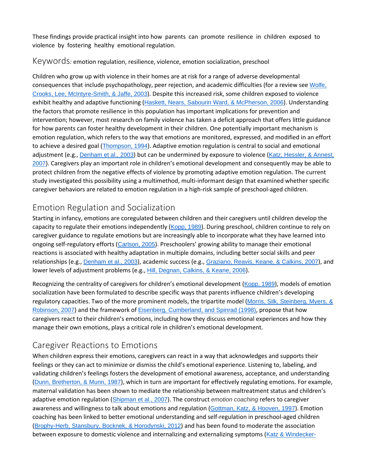These findings provide practical insight into how parents can promote resilience in children exposed to violence by fostering healthy emotional regulation.

#### Keywords*:* emotion regulation, resilience, violence, emotion socialization, preschool

Children who grow up with violence in their homes are at risk for a range of adverse developmental consequences that include psychopathology, peer rejection, and academic difficulties (for a review see [Wolfe,](https://0-web-b-ebscohost-com.libus.csd.mu.edu/ehost/detail/detail?vid=2&sid=a29294ee-f00b-43a6-801d-a7c51c710a13%40pdc-v-sessmgr04&bdata=JnNpdGU9ZWhvc3QtbGl2ZQ%3d%3d#c54) Crooks, Lee, [McIntyre-Smith,](https://0-web-b-ebscohost-com.libus.csd.mu.edu/ehost/detail/detail?vid=2&sid=a29294ee-f00b-43a6-801d-a7c51c710a13%40pdc-v-sessmgr04&bdata=JnNpdGU9ZWhvc3QtbGl2ZQ%3d%3d#c54) & Jaffe, 2003). Despite this increased risk, some children exposed to violence exhibit healthy and adaptive functioning (Haskett, Nears, Sabourin Ward, & [McPherson,](https://0-web-b-ebscohost-com.libus.csd.mu.edu/ehost/detail/detail?vid=2&sid=a29294ee-f00b-43a6-801d-a7c51c710a13%40pdc-v-sessmgr04&bdata=JnNpdGU9ZWhvc3QtbGl2ZQ%3d%3d#c26) 2006). Understanding the factors that promote resilience in this population has important implications for prevention and intervention; however, most research on family violence has taken a deficit approach that offers little guidance for how parents can foster healthy development in their children. One potentially important mechanism is emotion regulation, which refers to the way that emotions are monitored, expressed, and modified in an effort to achieve a desired goal ([Thompson,](https://0-web-b-ebscohost-com.libus.csd.mu.edu/ehost/detail/detail?vid=2&sid=a29294ee-f00b-43a6-801d-a7c51c710a13%40pdc-v-sessmgr04&bdata=JnNpdGU9ZWhvc3QtbGl2ZQ%3d%3d#c53) 1994). Adaptive emotion regulation is central to social and emotional adjustment (e.g., [Denham](https://0-web-b-ebscohost-com.libus.csd.mu.edu/ehost/detail/detail?vid=2&sid=a29294ee-f00b-43a6-801d-a7c51c710a13%40pdc-v-sessmgr04&bdata=JnNpdGU9ZWhvc3QtbGl2ZQ%3d%3d#c16) et al., 2003) but can be undermined by exposure to violence (Katz, [Hessler,](https://0-web-b-ebscohost-com.libus.csd.mu.edu/ehost/detail/detail?vid=2&sid=a29294ee-f00b-43a6-801d-a7c51c710a13%40pdc-v-sessmgr04&bdata=JnNpdGU9ZWhvc3QtbGl2ZQ%3d%3d#c30) & Annest, [2007](https://0-web-b-ebscohost-com.libus.csd.mu.edu/ehost/detail/detail?vid=2&sid=a29294ee-f00b-43a6-801d-a7c51c710a13%40pdc-v-sessmgr04&bdata=JnNpdGU9ZWhvc3QtbGl2ZQ%3d%3d#c30)). Caregivers play an important role in children's emotional development and consequently may be able to protect children from the negative effects of violence by promoting adaptive emotion regulation. The current study investigated this possibility using a multimethod, multi-informant design that examined whether specific caregiver behaviors are related to emotion regulation in a high-risk sample of preschool-aged children.

## Emotion Regulation and Socialization

Starting in infancy, emotions are coregulated between children and their caregivers until children develop the capacity to regulate their emotions independently ([Kopp,](https://0-web-b-ebscohost-com.libus.csd.mu.edu/ehost/detail/detail?vid=2&sid=a29294ee-f00b-43a6-801d-a7c51c710a13%40pdc-v-sessmgr04&bdata=JnNpdGU9ZWhvc3QtbGl2ZQ%3d%3d#c34) 1989). During preschool, children continue to rely on caregiver guidance to regulate emotions but are increasingly able to incorporate what they have learned into ongoing self-regulatory efforts ([Carlson,](https://0-web-b-ebscohost-com.libus.csd.mu.edu/ehost/detail/detail?vid=2&sid=a29294ee-f00b-43a6-801d-a7c51c710a13%40pdc-v-sessmgr04&bdata=JnNpdGU9ZWhvc3QtbGl2ZQ%3d%3d#c11) 2005). Preschoolers' growing ability to manage their emotional reactions is associated with healthy adaptation in multiple domains, including better social skills and peer relationships (e.g., [Denham](https://0-web-b-ebscohost-com.libus.csd.mu.edu/ehost/detail/detail?vid=2&sid=a29294ee-f00b-43a6-801d-a7c51c710a13%40pdc-v-sessmgr04&bdata=JnNpdGU9ZWhvc3QtbGl2ZQ%3d%3d#c16) et al., 2003), academic success (e.g., [Graziano,](https://0-web-b-ebscohost-com.libus.csd.mu.edu/ehost/detail/detail?vid=2&sid=a29294ee-f00b-43a6-801d-a7c51c710a13%40pdc-v-sessmgr04&bdata=JnNpdGU9ZWhvc3QtbGl2ZQ%3d%3d#c25) Reavis, Keane, & Calkins, 2007), and lower levels of adjustment problems (e.g., Hill, [Degnan,](https://0-web-b-ebscohost-com.libus.csd.mu.edu/ehost/detail/detail?vid=2&sid=a29294ee-f00b-43a6-801d-a7c51c710a13%40pdc-v-sessmgr04&bdata=JnNpdGU9ZWhvc3QtbGl2ZQ%3d%3d#c27) Calkins, & Keane, 2006).

Recognizing the centrality of caregivers for children's emotional development ([Kopp,](https://0-web-b-ebscohost-com.libus.csd.mu.edu/ehost/detail/detail?vid=2&sid=a29294ee-f00b-43a6-801d-a7c51c710a13%40pdc-v-sessmgr04&bdata=JnNpdGU9ZWhvc3QtbGl2ZQ%3d%3d#c34) 1989), models of emotion socialization have been formulated to describe specific ways that parents influence children's developing regulatory capacities. Two of the more prominent models, the tripartite model (Morris, Silk, [Steinberg,](https://0-web-b-ebscohost-com.libus.csd.mu.edu/ehost/detail/detail?vid=2&sid=a29294ee-f00b-43a6-801d-a7c51c710a13%40pdc-v-sessmgr04&bdata=JnNpdGU9ZWhvc3QtbGl2ZQ%3d%3d#c45) Myers, & [Robinson,](https://0-web-b-ebscohost-com.libus.csd.mu.edu/ehost/detail/detail?vid=2&sid=a29294ee-f00b-43a6-801d-a7c51c710a13%40pdc-v-sessmgr04&bdata=JnNpdGU9ZWhvc3QtbGl2ZQ%3d%3d#c45) 2007) and the framework of Eisenberg, [Cumberland,](https://0-web-b-ebscohost-com.libus.csd.mu.edu/ehost/detail/detail?vid=2&sid=a29294ee-f00b-43a6-801d-a7c51c710a13%40pdc-v-sessmgr04&bdata=JnNpdGU9ZWhvc3QtbGl2ZQ%3d%3d#c18) and Spinrad (1998), propose that how caregivers react to their children's emotions, including how they discuss emotional experiences and how they manage their own emotions, plays a critical role in children's emotional development.

## Caregiver Reactions to Emotions

When children express their emotions, caregivers can react in a way that acknowledges and supports their feelings or they can act to minimize or dismiss the child's emotional experience. Listening to, labeling, and validating children's feelings fosters the development of emotional awareness, acceptance, and understanding (Dunn, [Bretherton,](https://0-web-b-ebscohost-com.libus.csd.mu.edu/ehost/detail/detail?vid=2&sid=a29294ee-f00b-43a6-801d-a7c51c710a13%40pdc-v-sessmgr04&bdata=JnNpdGU9ZWhvc3QtbGl2ZQ%3d%3d#c17) & Munn, 1987), which in turn are important for effectively regulating emotions. For example, maternal validation has been shown to mediate the relationship between maltreatment status and children's adaptive emotion regulation ([Shipman](https://0-web-b-ebscohost-com.libus.csd.mu.edu/ehost/detail/detail?vid=2&sid=a29294ee-f00b-43a6-801d-a7c51c710a13%40pdc-v-sessmgr04&bdata=JnNpdGU9ZWhvc3QtbGl2ZQ%3d%3d#c59) et al., 2007). The construct *emotion coaching* refers to caregiver awareness and willingness to talk about emotions and regulation ([Gottman,](https://0-web-b-ebscohost-com.libus.csd.mu.edu/ehost/detail/detail?vid=2&sid=a29294ee-f00b-43a6-801d-a7c51c710a13%40pdc-v-sessmgr04&bdata=JnNpdGU9ZWhvc3QtbGl2ZQ%3d%3d#c22) Katz, & Hooven, 1997). Emotion coaching has been linked to better emotional understanding and self-regulation in preschool-aged children ([Brophy-Herb,](https://0-web-b-ebscohost-com.libus.csd.mu.edu/ehost/detail/detail?vid=2&sid=a29294ee-f00b-43a6-801d-a7c51c710a13%40pdc-v-sessmgr04&bdata=JnNpdGU9ZWhvc3QtbGl2ZQ%3d%3d#c9) Stansbury, Bocknek, & Horodynski, 2012) and has been found to moderate the association between exposure to domestic violence and internalizing and externalizing symptoms (Katz & [Windecker-](https://0-web-b-ebscohost-com.libus.csd.mu.edu/ehost/detail/detail?vid=2&sid=a29294ee-f00b-43a6-801d-a7c51c710a13%40pdc-v-sessmgr04&bdata=JnNpdGU9ZWhvc3QtbGl2ZQ%3d%3d#c31)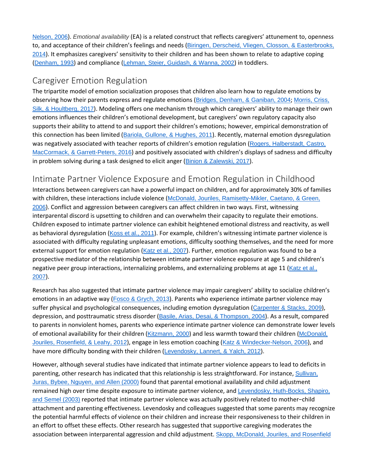[Nelson,](https://0-web-b-ebscohost-com.libus.csd.mu.edu/ehost/detail/detail?vid=2&sid=a29294ee-f00b-43a6-801d-a7c51c710a13%40pdc-v-sessmgr04&bdata=JnNpdGU9ZWhvc3QtbGl2ZQ%3d%3d#c31) 2006). *Emotional availability* (EA) is a related construct that reflects caregivers' attunement to, openness to, and acceptance of their children's feelings and needs (Biringen, Derscheid, Vliegen, Closson, & [Easterbrooks,](https://0-web-b-ebscohost-com.libus.csd.mu.edu/ehost/detail/detail?vid=2&sid=a29294ee-f00b-43a6-801d-a7c51c710a13%40pdc-v-sessmgr04&bdata=JnNpdGU9ZWhvc3QtbGl2ZQ%3d%3d#c7) [2014](https://0-web-b-ebscohost-com.libus.csd.mu.edu/ehost/detail/detail?vid=2&sid=a29294ee-f00b-43a6-801d-a7c51c710a13%40pdc-v-sessmgr04&bdata=JnNpdGU9ZWhvc3QtbGl2ZQ%3d%3d#c7)). It emphasizes caregivers' sensitivity to their children and has been shown to relate to adaptive coping ([Denham,](https://0-web-b-ebscohost-com.libus.csd.mu.edu/ehost/detail/detail?vid=2&sid=a29294ee-f00b-43a6-801d-a7c51c710a13%40pdc-v-sessmgr04&bdata=JnNpdGU9ZWhvc3QtbGl2ZQ%3d%3d#c15) 1993) and compliance (Lehman, Steier, [Guidash,](https://0-web-b-ebscohost-com.libus.csd.mu.edu/ehost/detail/detail?vid=2&sid=a29294ee-f00b-43a6-801d-a7c51c710a13%40pdc-v-sessmgr04&bdata=JnNpdGU9ZWhvc3QtbGl2ZQ%3d%3d#c36) & Wanna, 2002) in toddlers.

## Caregiver Emotion Regulation

The tripartite model of emotion socialization proposes that children also learn how to regulate emotions by observing how their parents express and regulate emotions (Bridges, [Denham,](https://0-web-b-ebscohost-com.libus.csd.mu.edu/ehost/detail/detail?vid=2&sid=a29294ee-f00b-43a6-801d-a7c51c710a13%40pdc-v-sessmgr04&bdata=JnNpdGU9ZWhvc3QtbGl2ZQ%3d%3d#c8) & Ganiban, 2004; [Morris,](https://0-web-b-ebscohost-com.libus.csd.mu.edu/ehost/detail/detail?vid=2&sid=a29294ee-f00b-43a6-801d-a7c51c710a13%40pdc-v-sessmgr04&bdata=JnNpdGU9ZWhvc3QtbGl2ZQ%3d%3d#c43) Criss, Silk, & [Houltberg,](https://0-web-b-ebscohost-com.libus.csd.mu.edu/ehost/detail/detail?vid=2&sid=a29294ee-f00b-43a6-801d-a7c51c710a13%40pdc-v-sessmgr04&bdata=JnNpdGU9ZWhvc3QtbGl2ZQ%3d%3d#c43) 2017). Modeling offers one mechanism through which caregivers' ability to manage their own emotions influences their children's emotional development, but caregivers' own regulatory capacity also supports their ability to attend to and support their children's emotions; however, empirical demonstration of this connection has been limited (Bariola, [Gullone,](https://0-web-b-ebscohost-com.libus.csd.mu.edu/ehost/detail/detail?vid=2&sid=a29294ee-f00b-43a6-801d-a7c51c710a13%40pdc-v-sessmgr04&bdata=JnNpdGU9ZWhvc3QtbGl2ZQ%3d%3d#c3) & Hughes, 2011). Recently, maternal emotion dysregulation was negatively associated with teacher reports of children's emotion regulation (Rogers, [Halberstadt,](https://0-web-b-ebscohost-com.libus.csd.mu.edu/ehost/detail/detail?vid=2&sid=a29294ee-f00b-43a6-801d-a7c51c710a13%40pdc-v-sessmgr04&bdata=JnNpdGU9ZWhvc3QtbGl2ZQ%3d%3d#c46) Castro, MacCormack, & [Garrett-Peters,](https://0-web-b-ebscohost-com.libus.csd.mu.edu/ehost/detail/detail?vid=2&sid=a29294ee-f00b-43a6-801d-a7c51c710a13%40pdc-v-sessmgr04&bdata=JnNpdGU9ZWhvc3QtbGl2ZQ%3d%3d#c46) 2016) and positively associated with children's displays of sadness and difficulty in problem solving during a task designed to elicit anger (Binion & [Zalewski,](https://0-web-b-ebscohost-com.libus.csd.mu.edu/ehost/detail/detail?vid=2&sid=a29294ee-f00b-43a6-801d-a7c51c710a13%40pdc-v-sessmgr04&bdata=JnNpdGU9ZWhvc3QtbGl2ZQ%3d%3d#c5) 2017).

## [Intimate Partner Violence Exposure and Emotion Regulation in Childhood](https://0-web-b-ebscohost-com.libus.csd.mu.edu/ehost/detail/detail?vid=2&sid=a29294ee-f00b-43a6-801d-a7c51c710a13%40pdc-v-sessmgr04&bdata=JnNpdGU9ZWhvc3QtbGl2ZQ%3d%3d#toc)

Interactions between caregivers can have a powerful impact on children, and for approximately 30% of families with children, these interactions include violence (McDonald, Jouriles, [Ramisetty-Mikler,](https://0-web-b-ebscohost-com.libus.csd.mu.edu/ehost/detail/detail?vid=2&sid=a29294ee-f00b-43a6-801d-a7c51c710a13%40pdc-v-sessmgr04&bdata=JnNpdGU9ZWhvc3QtbGl2ZQ%3d%3d#c40) Caetano, & Green, [2006](https://0-web-b-ebscohost-com.libus.csd.mu.edu/ehost/detail/detail?vid=2&sid=a29294ee-f00b-43a6-801d-a7c51c710a13%40pdc-v-sessmgr04&bdata=JnNpdGU9ZWhvc3QtbGl2ZQ%3d%3d#c40)). Conflict and aggression between caregivers can affect children in two ways. First, witnessing interparental discord is upsetting to children and can overwhelm their capacity to regulate their emotions. Children exposed to intimate partner violence can exhibit heightened emotional distress and reactivity, as well as behavioral dysregulation (Koss et al., [2011](https://0-web-b-ebscohost-com.libus.csd.mu.edu/ehost/detail/detail?vid=2&sid=a29294ee-f00b-43a6-801d-a7c51c710a13%40pdc-v-sessmgr04&bdata=JnNpdGU9ZWhvc3QtbGl2ZQ%3d%3d#c35)). For example, children's witnessing intimate partner violence is associated with difficulty regulating unpleasant emotions, difficulty soothing themselves, and the need for more external support for emotion regulation (Katz et al., [2007](https://0-web-b-ebscohost-com.libus.csd.mu.edu/ehost/detail/detail?vid=2&sid=a29294ee-f00b-43a6-801d-a7c51c710a13%40pdc-v-sessmgr04&bdata=JnNpdGU9ZWhvc3QtbGl2ZQ%3d%3d#c30)). Further, emotion regulation was found to be a prospective mediator of the relationship between intimate partner violence exposure at age 5 and children's negative peer group interactions, internalizing problems, and externalizing problems at age 11 ([Katz](https://0-web-b-ebscohost-com.libus.csd.mu.edu/ehost/detail/detail?vid=2&sid=a29294ee-f00b-43a6-801d-a7c51c710a13%40pdc-v-sessmgr04&bdata=JnNpdGU9ZWhvc3QtbGl2ZQ%3d%3d#c30) et al., [2007](https://0-web-b-ebscohost-com.libus.csd.mu.edu/ehost/detail/detail?vid=2&sid=a29294ee-f00b-43a6-801d-a7c51c710a13%40pdc-v-sessmgr04&bdata=JnNpdGU9ZWhvc3QtbGl2ZQ%3d%3d#c30)).

Research has also suggested that intimate partner violence may impair caregivers' ability to socialize children's emotions in an adaptive way (Fosco & [Grych,](https://0-web-b-ebscohost-com.libus.csd.mu.edu/ehost/detail/detail?vid=2&sid=a29294ee-f00b-43a6-801d-a7c51c710a13%40pdc-v-sessmgr04&bdata=JnNpdGU9ZWhvc3QtbGl2ZQ%3d%3d#c21) 2013). Parents who experience intimate partner violence may suffer physical and psychological consequences, including emotion dysregulation ([Carpenter](https://0-web-b-ebscohost-com.libus.csd.mu.edu/ehost/detail/detail?vid=2&sid=a29294ee-f00b-43a6-801d-a7c51c710a13%40pdc-v-sessmgr04&bdata=JnNpdGU9ZWhvc3QtbGl2ZQ%3d%3d#c12) & Stacks, 2009), depression, and posttraumatic stress disorder (Basile, Arias, Desai, & [Thompson,](https://0-web-b-ebscohost-com.libus.csd.mu.edu/ehost/detail/detail?vid=2&sid=a29294ee-f00b-43a6-801d-a7c51c710a13%40pdc-v-sessmgr04&bdata=JnNpdGU9ZWhvc3QtbGl2ZQ%3d%3d#c4) 2004). As a result, compared to parents in nonviolent homes, parents who experience intimate partner violence can demonstrate lower levels of emotional availability for their children ([Kitzmann,](https://0-web-b-ebscohost-com.libus.csd.mu.edu/ehost/detail/detail?vid=2&sid=a29294ee-f00b-43a6-801d-a7c51c710a13%40pdc-v-sessmgr04&bdata=JnNpdGU9ZWhvc3QtbGl2ZQ%3d%3d#c33) 2000) and less warmth toward their children ([McDonald,](https://0-web-b-ebscohost-com.libus.csd.mu.edu/ehost/detail/detail?vid=2&sid=a29294ee-f00b-43a6-801d-a7c51c710a13%40pdc-v-sessmgr04&bdata=JnNpdGU9ZWhvc3QtbGl2ZQ%3d%3d#c41) Jouriles, [Rosenfield,](https://0-web-b-ebscohost-com.libus.csd.mu.edu/ehost/detail/detail?vid=2&sid=a29294ee-f00b-43a6-801d-a7c51c710a13%40pdc-v-sessmgr04&bdata=JnNpdGU9ZWhvc3QtbGl2ZQ%3d%3d#c41) & Leahy, 2012), engage in less emotion coaching (Katz & [Windecker-Nelson,](https://0-web-b-ebscohost-com.libus.csd.mu.edu/ehost/detail/detail?vid=2&sid=a29294ee-f00b-43a6-801d-a7c51c710a13%40pdc-v-sessmgr04&bdata=JnNpdGU9ZWhvc3QtbGl2ZQ%3d%3d#c31) 2006), and have more difficulty bonding with their children ([Levendosky,](https://0-web-b-ebscohost-com.libus.csd.mu.edu/ehost/detail/detail?vid=2&sid=a29294ee-f00b-43a6-801d-a7c51c710a13%40pdc-v-sessmgr04&bdata=JnNpdGU9ZWhvc3QtbGl2ZQ%3d%3d#c38) Lannert, & Yalch, 2012).

However, although several studies have indicated that intimate partner violence appears to lead to deficits in parenting, other research has indicated that this relationship is less straightforward. For instance, [Sullivan,](https://0-web-b-ebscohost-com.libus.csd.mu.edu/ehost/detail/detail?vid=2&sid=a29294ee-f00b-43a6-801d-a7c51c710a13%40pdc-v-sessmgr04&bdata=JnNpdGU9ZWhvc3QtbGl2ZQ%3d%3d#c52) Juras, Bybee, [Nguyen,](https://0-web-b-ebscohost-com.libus.csd.mu.edu/ehost/detail/detail?vid=2&sid=a29294ee-f00b-43a6-801d-a7c51c710a13%40pdc-v-sessmgr04&bdata=JnNpdGU9ZWhvc3QtbGl2ZQ%3d%3d#c52) and Allen (2000) found that parental emotional availability and child adjustment remained high over time despite exposure to intimate partner violence, and [Levendosky,](https://0-web-b-ebscohost-com.libus.csd.mu.edu/ehost/detail/detail?vid=2&sid=a29294ee-f00b-43a6-801d-a7c51c710a13%40pdc-v-sessmgr04&bdata=JnNpdGU9ZWhvc3QtbGl2ZQ%3d%3d#c37) Huth-Bocks, Shapiro, and Semel [\(2003\)](https://0-web-b-ebscohost-com.libus.csd.mu.edu/ehost/detail/detail?vid=2&sid=a29294ee-f00b-43a6-801d-a7c51c710a13%40pdc-v-sessmgr04&bdata=JnNpdGU9ZWhvc3QtbGl2ZQ%3d%3d#c37) reported that intimate partner violence was actually positively related to mother−child attachment and parenting effectiveness. Levendosky and colleagues suggested that some parents may recognize the potential harmful effects of violence on their children and increase their responsiveness to their children in an effort to offset these effects. Other research has suggested that supportive caregiving moderates the association between interparental aggression and child adjustment. Skopp, [McDonald,](https://0-web-b-ebscohost-com.libus.csd.mu.edu/ehost/detail/detail?vid=2&sid=a29294ee-f00b-43a6-801d-a7c51c710a13%40pdc-v-sessmgr04&bdata=JnNpdGU9ZWhvc3QtbGl2ZQ%3d%3d#c50) Jouriles, and Rosenfield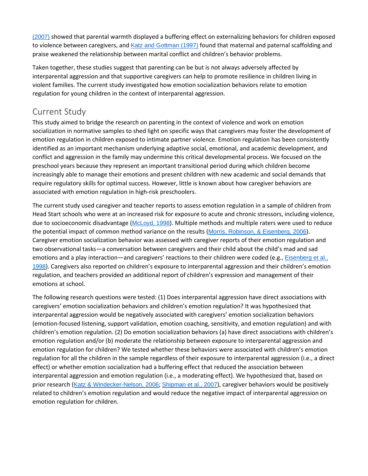[\(2007\)](https://0-web-b-ebscohost-com.libus.csd.mu.edu/ehost/detail/detail?vid=2&sid=a29294ee-f00b-43a6-801d-a7c51c710a13%40pdc-v-sessmgr04&bdata=JnNpdGU9ZWhvc3QtbGl2ZQ%3d%3d#c50) showed that parental warmth displayed a buffering effect on externalizing behaviors for children exposed to violence between caregivers, and Katz and [Gottman](https://0-web-b-ebscohost-com.libus.csd.mu.edu/ehost/detail/detail?vid=2&sid=a29294ee-f00b-43a6-801d-a7c51c710a13%40pdc-v-sessmgr04&bdata=JnNpdGU9ZWhvc3QtbGl2ZQ%3d%3d#c29) (1997) found that maternal and paternal scaffolding and praise weakened the relationship between marital conflict and children's behavior problems.

Taken together, these studies suggest that parenting can be but is not always adversely affected by interparental aggression and that supportive caregivers can help to promote resilience in children living in violent families. The current study investigated how emotion socialization behaviors relate to emotion regulation for young children in the context of interparental aggression.

## [Current Study](https://0-web-b-ebscohost-com.libus.csd.mu.edu/ehost/detail/detail?vid=2&sid=a29294ee-f00b-43a6-801d-a7c51c710a13%40pdc-v-sessmgr04&bdata=JnNpdGU9ZWhvc3QtbGl2ZQ%3d%3d#toc)

This study aimed to bridge the research on parenting in the context of violence and work on emotion socialization in normative samples to shed light on specific ways that caregivers may foster the development of emotion regulation in children exposed to intimate partner violence. Emotion regulation has been consistently identified as an important mechanism underlying adaptive social, emotional, and academic development, and conflict and aggression in the family may undermine this critical developmental process. We focused on the preschool years because they represent an important transitional period during which children become increasingly able to manage their emotions and present children with new academic and social demands that require regulatory skills for optimal success. However, little is known about how caregiver behaviors are associated with emotion regulation in high-risk preschoolers.

The current study used caregiver and teacher reports to assess emotion regulation in a sample of children from Head Start schools who were at an increased risk for exposure to acute and chronic stressors, including violence, due to socioeconomic disadvantage ([McLoyd,](https://0-web-b-ebscohost-com.libus.csd.mu.edu/ehost/detail/detail?vid=2&sid=a29294ee-f00b-43a6-801d-a7c51c710a13%40pdc-v-sessmgr04&bdata=JnNpdGU9ZWhvc3QtbGl2ZQ%3d%3d#c42) 1998). Multiple methods and multiple raters were used to reduce the potential impact of common method variance on the results (Morris, Robinson, & [Eisenberg,](https://0-web-b-ebscohost-com.libus.csd.mu.edu/ehost/detail/detail?vid=2&sid=a29294ee-f00b-43a6-801d-a7c51c710a13%40pdc-v-sessmgr04&bdata=JnNpdGU9ZWhvc3QtbGl2ZQ%3d%3d#c44) 2006). Caregiver emotion socialization behavior was assessed with caregiver reports of their emotion regulation and two observational tasks—a conversation between caregivers and their child about the child's mad and sad emotions and a play interaction—and caregivers' reactions to their children were coded (e.g., [Eisenberg](https://0-web-b-ebscohost-com.libus.csd.mu.edu/ehost/detail/detail?vid=2&sid=a29294ee-f00b-43a6-801d-a7c51c710a13%40pdc-v-sessmgr04&bdata=JnNpdGU9ZWhvc3QtbGl2ZQ%3d%3d#c18) et al., [1998](https://0-web-b-ebscohost-com.libus.csd.mu.edu/ehost/detail/detail?vid=2&sid=a29294ee-f00b-43a6-801d-a7c51c710a13%40pdc-v-sessmgr04&bdata=JnNpdGU9ZWhvc3QtbGl2ZQ%3d%3d#c18)). Caregivers also reported on children's exposure to interparental aggression and their children's emotion regulation, and teachers provided an additional report of children's expression and management of their emotions at school.

The following research questions were tested: (1) Does interparental aggression have direct associations with caregivers' emotion socialization behaviors and children's emotion regulation? It was hypothesized that interparental aggression would be negatively associated with caregivers' emotion socialization behaviors (emotion-focused listening, support validation, emotion coaching, sensitivity, and emotion regulation) and with children's emotion regulation. (2) Do emotion socialization behaviors (a) have direct associations with children's emotion regulation and/or (b) moderate the relationship between exposure to interparental aggression and emotion regulation for children? We tested whether these behaviors were associated with children's emotion regulation for all the children in the sample regardless of their exposure to interparental aggression (i.e., a direct effect) or whether emotion socialization had a buffering effect that reduced the association between interparental aggression and emotion regulation (i.e., a moderating effect). We hypothesized that, based on prior research (Katz & [Windecker-Nelson,](https://0-web-b-ebscohost-com.libus.csd.mu.edu/ehost/detail/detail?vid=2&sid=a29294ee-f00b-43a6-801d-a7c51c710a13%40pdc-v-sessmgr04&bdata=JnNpdGU9ZWhvc3QtbGl2ZQ%3d%3d#c31) 2006; [Shipman](https://0-web-b-ebscohost-com.libus.csd.mu.edu/ehost/detail/detail?vid=2&sid=a29294ee-f00b-43a6-801d-a7c51c710a13%40pdc-v-sessmgr04&bdata=JnNpdGU9ZWhvc3QtbGl2ZQ%3d%3d#c59) et al., 2007), caregiver behaviors would be positively related to children's emotion regulation and would reduce the negative impact of interparental aggression on emotion regulation for children.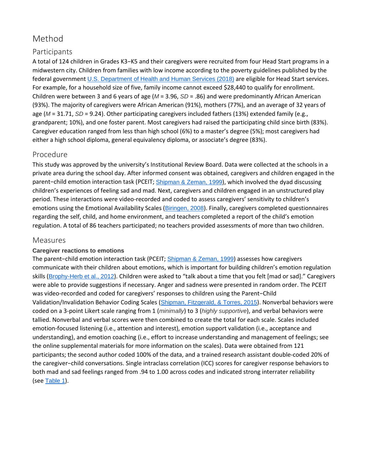## [Method](https://0-web-b-ebscohost-com.libus.csd.mu.edu/ehost/detail/detail?vid=2&sid=a29294ee-f00b-43a6-801d-a7c51c710a13%40pdc-v-sessmgr04&bdata=JnNpdGU9ZWhvc3QtbGl2ZQ%3d%3d#toc)

## Participants

A total of 124 children in Grades K3−K5 and their caregivers were recruited from four Head Start programs in a midwestern city. Children from families with low income according to the poverty guidelines published by the federal government U.S. [Department](https://0-web-b-ebscohost-com.libus.csd.mu.edu/ehost/detail/detail?vid=2&sid=a29294ee-f00b-43a6-801d-a7c51c710a13%40pdc-v-sessmgr04&bdata=JnNpdGU9ZWhvc3QtbGl2ZQ%3d%3d#c60) of Health and Human Services (2018) are eligible for Head Start services. For example, for a household size of five, family income cannot exceed \$28,440 to qualify for enrollment. Children were between 3 and 6 years of age (*M* = 3.96, *SD* = .86) and were predominantly African American (93%). The majority of caregivers were African American (91%), mothers (77%), and an average of 32 years of age (*M* = 31.71, *SD* = 9.24). Other participating caregivers included fathers (13%) extended family (e.g., grandparent; 10%), and one foster parent. Most caregivers had raised the participating child since birth (83%). Caregiver education ranged from less than high school (6%) to a master's degree (5%); most caregivers had either a high school diploma, general equivalency diploma, or associate's degree (83%).

## Procedure

This study was approved by the university's Institutional Review Board. Data were collected at the schools in a private area during the school day. After informed consent was obtained, caregivers and children engaged in the parent−child emotion interaction task (PCEIT; [Shipman](https://0-web-b-ebscohost-com.libus.csd.mu.edu/ehost/detail/detail?vid=2&sid=a29294ee-f00b-43a6-801d-a7c51c710a13%40pdc-v-sessmgr04&bdata=JnNpdGU9ZWhvc3QtbGl2ZQ%3d%3d#c49) & Zeman, 1999), which involved the dyad discussing children's experiences of feeling sad and mad. Next, caregivers and children engaged in an unstructured play period. These interactions were video-recorded and coded to assess caregivers' sensitivity to children's emotions using the Emotional Availability Scales ([Biringen,](https://0-web-b-ebscohost-com.libus.csd.mu.edu/ehost/detail/detail?vid=2&sid=a29294ee-f00b-43a6-801d-a7c51c710a13%40pdc-v-sessmgr04&bdata=JnNpdGU9ZWhvc3QtbGl2ZQ%3d%3d#c6) 2008). Finally, caregivers completed questionnaires regarding the self, child, and home environment, and teachers completed a report of the child's emotion regulation. A total of 86 teachers participated; no teachers provided assessments of more than two children.

#### Measures

#### **Caregiver reactions to emotions**

The parent−child emotion interaction task (PCEIT; [Shipman](https://0-web-b-ebscohost-com.libus.csd.mu.edu/ehost/detail/detail?vid=2&sid=a29294ee-f00b-43a6-801d-a7c51c710a13%40pdc-v-sessmgr04&bdata=JnNpdGU9ZWhvc3QtbGl2ZQ%3d%3d#c49) & Zeman, 1999) assesses how caregivers communicate with their children about emotions, which is important for building children's emotion regulation skills ([Brophy-Herb](https://0-web-b-ebscohost-com.libus.csd.mu.edu/ehost/detail/detail?vid=2&sid=a29294ee-f00b-43a6-801d-a7c51c710a13%40pdc-v-sessmgr04&bdata=JnNpdGU9ZWhvc3QtbGl2ZQ%3d%3d#c9) et al., 2012). Children were asked to "talk about a time that you felt [mad or sad]." Caregivers were able to provide suggestions if necessary. Anger and sadness were presented in random order. The PCEIT was video-recorded and coded for caregivers' responses to children using the Parent−Child Validation/Invalidation Behavior Coding Scales (Shipman, [Fitzgerald,](https://0-web-b-ebscohost-com.libus.csd.mu.edu/ehost/detail/detail?vid=2&sid=a29294ee-f00b-43a6-801d-a7c51c710a13%40pdc-v-sessmgr04&bdata=JnNpdGU9ZWhvc3QtbGl2ZQ%3d%3d#c48) & Torres, 2015). Nonverbal behaviors were coded on a 3-point Likert scale ranging from 1 (*minimally*) to 3 (*highly supportive*), and verbal behaviors were tallied. Nonverbal and verbal scores were then combined to create the total for each scale. Scales included emotion-focused listening (i.e., attention and interest), emotion support validation (i.e., acceptance and understanding), and emotion coaching (i.e., effort to increase understanding and management of feelings; see the online supplemental materials for more information on the scales). Data were obtained from 121 participants; the second author coded 100% of the data, and a trained research assistant double-coded 20% of the caregiver−child conversations. Single intraclass correlation (ICC) scores for caregiver response behaviors to both mad and sad feelings ranged from .94 to 1.00 across codes and indicated strong interrater reliability (see [Table](https://0-web-b-ebscohost-com.libus.csd.mu.edu/ehost/detail/detail?vid=2&sid=a29294ee-f00b-43a6-801d-a7c51c710a13%40pdc-v-sessmgr04&bdata=JnNpdGU9ZWhvc3QtbGl2ZQ%3d%3d#tbl1) 1).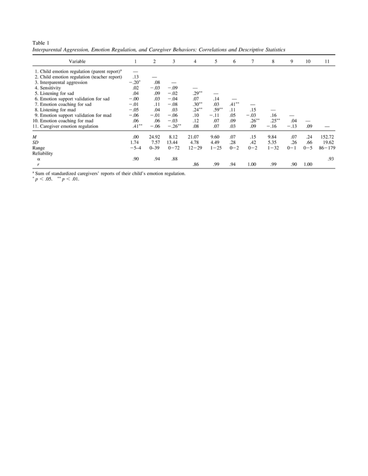Table 1 Interparental Aggression, Emotion Regulation, and Caregiver Behaviors: Correlations and Descriptive Statistics

| Variable                                                 |                | 2        | 3         | 4         | 5        | 6        | 7                        | 8        | 9       | 10      | 11         |
|----------------------------------------------------------|----------------|----------|-----------|-----------|----------|----------|--------------------------|----------|---------|---------|------------|
| 1. Child emotion regulation (parent report) <sup>a</sup> |                |          |           |           |          |          |                          |          |         |         |            |
| 2. Child emotion regulation (teacher report)             | .13            |          |           |           |          |          |                          |          |         |         |            |
| 3. Interparental aggression                              | $-.20^{\circ}$ | .08      |           |           |          |          |                          |          |         |         |            |
| 4. Sensitivity                                           | .02            | $-.03$   | $-.09$    |           |          |          |                          |          |         |         |            |
| 5. Listening for sad                                     | .04            | .09      | $-.02$    | $.29***$  |          |          |                          |          |         |         |            |
| 6. Emotion support validation for sad                    | $-.00$         | .03      | $-.04$    | .07       | .14      |          |                          |          |         |         |            |
| 7. Emotion coaching for sad                              | $-.01$         | .11      | $-.08$    | $.30***$  | .03      | $.41***$ | $\overline{\phantom{a}}$ |          |         |         |            |
| 8. Listening for mad                                     | $-.05$         | .04      | .03       | $.24***$  | $.59**$  | .11      | .15                      |          |         |         |            |
| 9. Emotion support validation for mad                    | $-.06$         | $-.01$   | $-.06$    | .10       | $-.11$   | .05      | $-.03$                   | .16      | -       |         |            |
| 10. Emotion coaching for mad                             | .06            | .06      | $-.03$    | .12       | .07      | .09      | $.26***$                 | $.25***$ | .04     |         |            |
| 11. Caregiver emotion regulation                         | $.41***$       | $-.06$   | $-.26***$ | .08       | .07      | .03      | .09                      | $-.16$   | $-.13$  | .09     |            |
| M                                                        | .00            | 24.92    | 8.12      | 21.07     | 9.60     | .07      | .15                      | 9.84     | .07     | .24     | 152.72     |
| SD                                                       | 1.74           | 7.57     | 13.44     | 4.78      | 4.49     | .28      | .42                      | 5.35     | .26     | .66     | 19.62      |
| Range                                                    | $-5-4$         | $0 - 39$ | $0 - 72$  | $12 - 29$ | $1 - 25$ | $0 - 2$  | $0 - 2$                  | $1 - 32$ | $0 - 1$ | $0 - 5$ | $86 - 179$ |
| Reliability                                              |                |          |           |           |          |          |                          |          |         |         |            |
| $\alpha$                                                 | .90            | .94      | .88       |           |          |          |                          |          |         |         | .93        |
|                                                          |                |          |           | .86       | .99      | .94      | 1.00                     | .99      | .90     | 1.00    |            |

<sup>a</sup> Sum of standardized caregivers' reports of their child's emotion regulation.<br>  $p < .05$ . \*\*  $p < .01$ .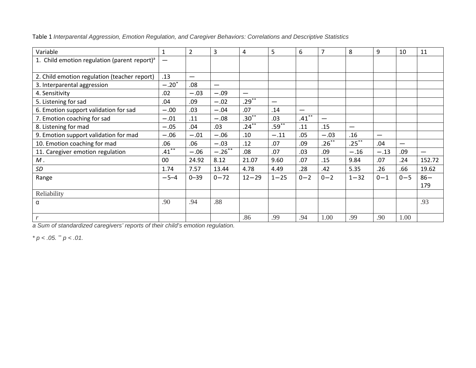| Variable                                                 | $\mathbf{1}$    | $\overline{2}$           | 3         | 4         | 5        | 6        | $\overline{7}$           | 8        | 9                        | 10                       | 11     |
|----------------------------------------------------------|-----------------|--------------------------|-----------|-----------|----------|----------|--------------------------|----------|--------------------------|--------------------------|--------|
| 1. Child emotion regulation (parent report) <sup>a</sup> | $\qquad \qquad$ |                          |           |           |          |          |                          |          |                          |                          |        |
| 2. Child emotion regulation (teacher report)             | .13             | $\overline{\phantom{m}}$ |           |           |          |          |                          |          |                          |                          |        |
| 3. Interparental aggression                              | $-.20^*$        | .08                      |           |           |          |          |                          |          |                          |                          |        |
| 4. Sensitivity                                           | .02             | $-.03$                   | $-.09$    |           |          |          |                          |          |                          |                          |        |
| 5. Listening for sad                                     | .04             | .09                      | $-.02$    | $.29***$  |          |          |                          |          |                          |                          |        |
| 6. Emotion support validation for sad                    | $-.00$          | .03                      | $-.04$    | .07       | .14      |          |                          |          |                          |                          |        |
| 7. Emotion coaching for sad                              | $-.01$          | .11                      | $-.08$    | $.30***$  | .03      | $.41***$ | $\overline{\phantom{m}}$ |          |                          |                          |        |
| 8. Listening for mad                                     | $-.05$          | .04                      | .03       | $.24***$  | $.59***$ | .11      | .15                      |          |                          |                          |        |
| 9. Emotion support validation for mad                    | $-.06$          | $-.01$                   | $-.06$    | .10       | $-.11$   | .05      | $-.03$                   | .16      | $\overline{\phantom{m}}$ |                          |        |
| 10. Emotion coaching for mad                             | .06             | .06                      | $-.03$    | .12       | .07      | .09      | $.26***$                 | $.25***$ | .04                      | $\overline{\phantom{0}}$ |        |
| 11. Caregiver emotion regulation                         | $.41***$        | $-.06$                   | $-.26***$ | .08       | .07      | .03      | .09                      | $-.16$   | $-.13$                   | .09                      |        |
| $M$ .                                                    | 00              | 24.92                    | 8.12      | 21.07     | 9.60     | .07      | .15                      | 9.84     | .07                      | .24                      | 152.72 |
| SD                                                       | 1.74            | 7.57                     | 13.44     | 4.78      | 4.49     | .28      | .42                      | 5.35     | .26                      | .66                      | 19.62  |
| Range                                                    | $-5-4$          | $0 - 39$                 | $0 - 72$  | $12 - 29$ | $1 - 25$ | $0 - 2$  | $0 - 2$                  | $1 - 32$ | $0 - 1$                  | $0 - 5$                  | $86 -$ |
|                                                          |                 |                          |           |           |          |          |                          |          |                          |                          | 179    |
| Reliability                                              |                 |                          |           |           |          |          |                          |          |                          |                          |        |
| α                                                        | .90             | .94                      | .88       |           |          |          |                          |          |                          |                          | .93    |
| r                                                        |                 |                          |           | .86       | .99      | .94      | 1.00                     | .99      | .90                      | 1.00                     |        |

Table 1 *Interparental Aggression, Emotion Regulation, and Caregiver Behaviors: Correlations and Descriptive Statistics*

*a Sum of standardized caregivers' reports of their child's emotion regulation.*

*\* p < .05. \*\* p < .01.*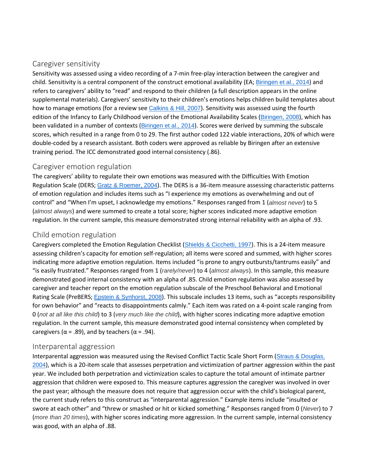## Caregiver sensitivity

Sensitivity was assessed using a video recording of a 7-min free-play interaction between the caregiver and child. Sensitivity is a central component of the construct emotional availability (EA; [Biringen](https://0-web-b-ebscohost-com.libus.csd.mu.edu/ehost/detail/detail?vid=2&sid=a29294ee-f00b-43a6-801d-a7c51c710a13%40pdc-v-sessmgr04&bdata=JnNpdGU9ZWhvc3QtbGl2ZQ%3d%3d#c7) et al., 2014) and refers to caregivers' ability to "read" and respond to their children (a full description appears in the online supplemental materials). Caregivers' sensitivity to their children's emotions helps children build templates about how to manage emotions (for a review see [Calkins](https://0-web-b-ebscohost-com.libus.csd.mu.edu/ehost/detail/detail?vid=2&sid=a29294ee-f00b-43a6-801d-a7c51c710a13%40pdc-v-sessmgr04&bdata=JnNpdGU9ZWhvc3QtbGl2ZQ%3d%3d#c10) & Hill, 2007). Sensitivity was assessed using the fourth edition of the Infancy to Early Childhood version of the Emotional Availability Scales ([Biringen,](https://0-web-b-ebscohost-com.libus.csd.mu.edu/ehost/detail/detail?vid=2&sid=a29294ee-f00b-43a6-801d-a7c51c710a13%40pdc-v-sessmgr04&bdata=JnNpdGU9ZWhvc3QtbGl2ZQ%3d%3d#c6) 2008), which has been validated in a number of contexts ([Biringen](https://0-web-b-ebscohost-com.libus.csd.mu.edu/ehost/detail/detail?vid=2&sid=a29294ee-f00b-43a6-801d-a7c51c710a13%40pdc-v-sessmgr04&bdata=JnNpdGU9ZWhvc3QtbGl2ZQ%3d%3d#c7) et al., 2014). Scores were derived by summing the subscale scores, which resulted in a range from 0 to 29. The first author coded 122 viable interactions, 20% of which were double-coded by a research assistant. Both coders were approved as reliable by Biringen after an extensive training period. The ICC demonstrated good internal consistency (.86).

## Caregiver emotion regulation

The caregivers' ability to regulate their own emotions was measured with the Difficulties With Emotion Regulation Scale (DERS; Gratz & [Roemer,](https://0-web-b-ebscohost-com.libus.csd.mu.edu/ehost/detail/detail?vid=2&sid=a29294ee-f00b-43a6-801d-a7c51c710a13%40pdc-v-sessmgr04&bdata=JnNpdGU9ZWhvc3QtbGl2ZQ%3d%3d#c24) 2004). The DERS is a 36-item measure assessing characteristic patterns of emotion regulation and includes items such as "I experience my emotions as overwhelming and out of control" and "When I'm upset, I acknowledge my emotions." Responses ranged from 1 (*almost never*) to 5 (*almost always*) and were summed to create a total score; higher scores indicated more adaptive emotion regulation. In the current sample, this measure demonstrated strong internal reliability with an alpha of .93.

## Child emotion regulation

Caregivers completed the Emotion Regulation Checklist (Shields & [Cicchetti,](https://0-web-b-ebscohost-com.libus.csd.mu.edu/ehost/detail/detail?vid=2&sid=a29294ee-f00b-43a6-801d-a7c51c710a13%40pdc-v-sessmgr04&bdata=JnNpdGU9ZWhvc3QtbGl2ZQ%3d%3d#c47) 1997). This is a 24-item measure assessing children's capacity for emotion self-regulation; all items were scored and summed, with higher scores indicating more adaptive emotion regulation. Items included "is prone to angry outbursts/tantrums easily" and "is easily frustrated." Responses ranged from 1 (*rarely/never*) to 4 (*almost always*). In this sample, this measure demonstrated good internal consistency with an alpha of .85. Child emotion regulation was also assessed by caregiver and teacher report on the emotion regulation subscale of the Preschool Behavioral and Emotional Rating Scale (PreBERS; Epstein & [Synhorst,](https://0-web-b-ebscohost-com.libus.csd.mu.edu/ehost/detail/detail?vid=2&sid=a29294ee-f00b-43a6-801d-a7c51c710a13%40pdc-v-sessmgr04&bdata=JnNpdGU9ZWhvc3QtbGl2ZQ%3d%3d#c19) 2008). This subscale includes 13 items, such as "accepts responsibility for own behavior" and "reacts to disappointments calmly." Each item was rated on a 4-point scale ranging from 0 (*not at all like this child*) to 3 (*very much like the child*), with higher scores indicating more adaptive emotion regulation. In the current sample, this measure demonstrated good internal consistency when completed by caregivers ( $\alpha$  = .89), and by teachers ( $\alpha$  = .94).

#### Interparental aggression

Interparental aggression was measured using the Revised Conflict Tactic Scale Short Form (Straus & [Douglas,](https://0-web-b-ebscohost-com.libus.csd.mu.edu/ehost/detail/detail?vid=2&sid=a29294ee-f00b-43a6-801d-a7c51c710a13%40pdc-v-sessmgr04&bdata=JnNpdGU9ZWhvc3QtbGl2ZQ%3d%3d#c51) [2004](https://0-web-b-ebscohost-com.libus.csd.mu.edu/ehost/detail/detail?vid=2&sid=a29294ee-f00b-43a6-801d-a7c51c710a13%40pdc-v-sessmgr04&bdata=JnNpdGU9ZWhvc3QtbGl2ZQ%3d%3d#c51)), which is a 20-item scale that assesses perpetration and victimization of partner aggression within the past year. We included both perpetration and victimization scales to capture the total amount of intimate partner aggression that children were exposed to. This measure captures aggression the caregiver was involved in over the past year; although the measure does not require that aggression occur with the child's biological parent, the current study refers to this construct as "interparental aggression." Example items include "insulted or swore at each other" and "threw or smashed or hit or kicked something." Responses ranged from 0 (*Never*) to 7 (*more than 20 times*), with higher scores indicating more aggression. In the current sample, internal consistency was good, with an alpha of .88.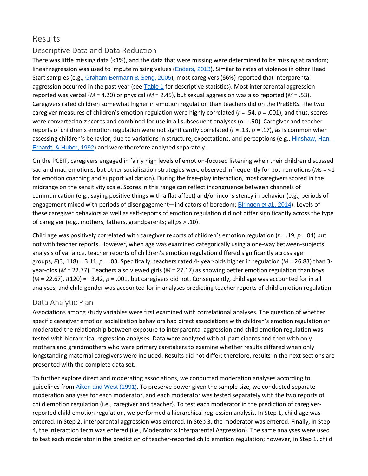## [Results](https://0-web-b-ebscohost-com.libus.csd.mu.edu/ehost/detail/detail?vid=2&sid=a29294ee-f00b-43a6-801d-a7c51c710a13%40pdc-v-sessmgr04&bdata=JnNpdGU9ZWhvc3QtbGl2ZQ%3d%3d#toc)

## Descriptive Data and Data Reduction

There was little missing data (<1%), and the data that were missing were determined to be missing at random; linear regression was used to impute missing values ([Enders,](https://0-web-b-ebscohost-com.libus.csd.mu.edu/ehost/detail/detail?vid=2&sid=a29294ee-f00b-43a6-801d-a7c51c710a13%40pdc-v-sessmgr04&bdata=JnNpdGU9ZWhvc3QtbGl2ZQ%3d%3d#c58) 2013). Similar to rates of violence in other Head Start samples (e.g., [Graham-Bermann](https://0-web-b-ebscohost-com.libus.csd.mu.edu/ehost/detail/detail?vid=2&sid=a29294ee-f00b-43a6-801d-a7c51c710a13%40pdc-v-sessmgr04&bdata=JnNpdGU9ZWhvc3QtbGl2ZQ%3d%3d#c23) & Seng, 2005), most caregivers (66%) reported that interparental aggression occurred in the past year (see [Table](https://0-web-b-ebscohost-com.libus.csd.mu.edu/ehost/detail/detail?vid=2&sid=a29294ee-f00b-43a6-801d-a7c51c710a13%40pdc-v-sessmgr04&bdata=JnNpdGU9ZWhvc3QtbGl2ZQ%3d%3d#tbl1) 1 for descriptive statistics). Most interparental aggression reported was verbal (*M* = 4.20) or physical (*M* = 2.45), but sexual aggression was also reported (*M* = .53). Caregivers rated children somewhat higher in emotion regulation than teachers did on the PreBERS. The two caregiver measures of children's emotion regulation were highly correlated ( $r = .54$ ,  $p = .001$ ), and thus, scores were converted to *z* scores and combined for use in all subsequent analyses (α = .90). Caregiver and teacher reports of children's emotion regulation were not significantly correlated ( $r = .13$ ,  $p = .17$ ), as is common when assessing children's behavior, due to variations in structure, expectations, and perceptions (e.g., [Hinshaw,](https://0-web-b-ebscohost-com.libus.csd.mu.edu/ehost/detail/detail?vid=2&sid=a29294ee-f00b-43a6-801d-a7c51c710a13%40pdc-v-sessmgr04&bdata=JnNpdGU9ZWhvc3QtbGl2ZQ%3d%3d#c28) Han, [Erhardt,](https://0-web-b-ebscohost-com.libus.csd.mu.edu/ehost/detail/detail?vid=2&sid=a29294ee-f00b-43a6-801d-a7c51c710a13%40pdc-v-sessmgr04&bdata=JnNpdGU9ZWhvc3QtbGl2ZQ%3d%3d#c28) & Huber, 1992) and were therefore analyzed separately.

On the PCEIT, caregivers engaged in fairly high levels of emotion-focused listening when their children discussed sad and mad emotions, but other socialization strategies were observed infrequently for both emotions (*M*s = <1 for emotion coaching and support validation). During the free-play interaction, most caregivers scored in the midrange on the sensitivity scale. Scores in this range can reflect incongruence between channels of communication (e.g., saying positive things with a flat affect) and/or inconsistency in behavior (e.g., periods of engagement mixed with periods of disengagement—indicators of boredom; [Biringen](https://0-web-b-ebscohost-com.libus.csd.mu.edu/ehost/detail/detail?vid=2&sid=a29294ee-f00b-43a6-801d-a7c51c710a13%40pdc-v-sessmgr04&bdata=JnNpdGU9ZWhvc3QtbGl2ZQ%3d%3d#c7) et al., 2014). Levels of these caregiver behaviors as well as self-reports of emotion regulation did not differ significantly across the type of caregiver (e.g., mothers, fathers, grandparents; all *p*s > .10).

Child age was positively correlated with caregiver reports of children's emotion regulation (*r* = .19, *p* = 04) but not with teacher reports. However, when age was examined categorically using a one-way between-subjects analysis of variance, teacher reports of children's emotion regulation differed significantly across age groups, *F*(3, 118) = 3.11, *p* = .03. Specifically, teachers rated 4- year-olds higher in regulation (*M* = 26.83) than 3 year-olds (*M* = 22.77). Teachers also viewed girls (*M* = 27.17) as showing better emotion regulation than boys (*M* = 22.67), *t*(120) = −3.42, *p* = .001, but caregivers did not. Consequently, child age was accounted for in all analyses, and child gender was accounted for in analyses predicting teacher reports of child emotion regulation.

## Data Analytic Plan

Associations among study variables were first examined with correlational analyses. The question of whether specific caregiver emotion socialization behaviors had direct associations with children's emotion regulation or moderated the relationship between exposure to interparental aggression and child emotion regulation was tested with hierarchical regression analyses. Data were analyzed with all participants and then with only mothers and grandmothers who were primary caretakers to examine whether results differed when only longstanding maternal caregivers were included. Results did not differ; therefore, results in the next sections are presented with the complete data set.

To further explore direct and moderating associations, we conducted moderation analyses according to guidelines from *Aiken and West [\(1991\)](https://0-web-b-ebscohost-com.libus.csd.mu.edu/ehost/detail/detail?vid=2&sid=a29294ee-f00b-43a6-801d-a7c51c710a13%40pdc-v-sessmgr04&bdata=JnNpdGU9ZWhvc3QtbGl2ZQ%3d%3d#c1)*. To preserve power given the sample size, we conducted separate moderation analyses for each moderator, and each moderator was tested separately with the two reports of child emotion regulation (i.e., caregiver and teacher). To test each moderator in the prediction of caregiverreported child emotion regulation, we performed a hierarchical regression analysis. In Step 1, child age was entered. In Step 2, interparental aggression was entered. In Step 3, the moderator was entered. Finally, in Step 4, the interaction term was entered (i.e., Moderator × Interparental Aggression). The same analyses were used to test each moderator in the prediction of teacher-reported child emotion regulation; however, in Step 1, child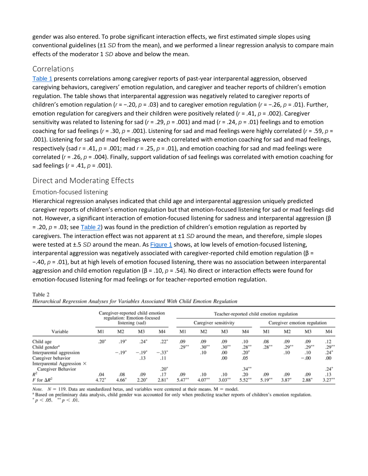gender was also entered. To probe significant interaction effects, we first estimated simple slopes using conventional guidelines (±1 *SD* from the mean), and we performed a linear regression analysis to compare main effects of the moderator 1 *SD* above and below the mean.

#### Correlations

[Table](https://0-web-b-ebscohost-com.libus.csd.mu.edu/ehost/detail/detail?vid=2&sid=a29294ee-f00b-43a6-801d-a7c51c710a13%40pdc-v-sessmgr04&bdata=JnNpdGU9ZWhvc3QtbGl2ZQ%3d%3d#tbl1) 1 presents correlations among caregiver reports of past-year interparental aggression, observed caregiving behaviors, caregivers' emotion regulation, and caregiver and teacher reports of children's emotion regulation. The table shows that interparental aggression was negatively related to caregiver reports of children's emotion regulation (*r* = −.20, *p* = .03) and to caregiver emotion regulation (*r* = −.26, *p* = .01). Further, emotion regulation for caregivers and their children were positively related ( $r = .41$ ,  $p = .002$ ). Caregiver sensitivity was related to listening for sad (*r* = .29, *p* = .001) and mad (*r* = .24, *p* = .01) feelings and to emotion coaching for sad feelings ( $r = .30$ ,  $p = .001$ ). Listening for sad and mad feelings were highly correlated ( $r = .59$ ,  $p =$ .001). Listening for sad and mad feelings were each correlated with emotion coaching for sad and mad feelings, respectively (sad *r* = .41, *p* = .001; mad *r* = .25, *p* = .01), and emotion coaching for sad and mad feelings were correlated (*r* = .26, *p* = .004). Finally, support validation of sad feelings was correlated with emotion coaching for sad feelings (*r* = .41, *p* = .001).

#### Direct and Moderating Effects

#### Emotion-focused listening

Hierarchical regression analyses indicated that child age and interparental aggression uniquely predicted caregiver reports of children's emotion regulation but that emotion-focused listening for sad or mad feelings did not. However, a significant interaction of emotion-focused listening for sadness and interparental aggression (β = .20, *p* = .03; see [Table](https://0-web-b-ebscohost-com.libus.csd.mu.edu/ehost/detail/detail?vid=2&sid=a29294ee-f00b-43a6-801d-a7c51c710a13%40pdc-v-sessmgr04&bdata=JnNpdGU9ZWhvc3QtbGl2ZQ%3d%3d#tbl2) 2) was found in the prediction of children's emotion regulation as reported by caregivers. The interaction effect was not apparent at ±1 *SD* around the mean, and therefore, simple slopes were tested at ±.5 *SD* around the mean. As **[Figure](https://0-web-b-ebscohost-com.libus.csd.mu.edu/ehost/detail/detail?vid=2&sid=a29294ee-f00b-43a6-801d-a7c51c710a13%40pdc-v-sessmgr04&bdata=JnNpdGU9ZWhvc3QtbGl2ZQ%3d%3d#fig1) 1** shows, at low levels of emotion-focused listening, interparental aggression was negatively associated with caregiver-reported child emotion regulation ( $β =$ −.40, *p* = .01), but at high levels of emotion focused listening, there was no association between interparental aggression and child emotion regulation (β = .10, *p* = .54). No direct or interaction effects were found for emotion-focused listening for mad feelings or for teacher-reported emotion regulation.

#### Table 2

| Hierarchical Regression Analyses for Variables Associated With Child Emotion Regulation |  |  |  |
|-----------------------------------------------------------------------------------------|--|--|--|
|-----------------------------------------------------------------------------------------|--|--|--|

|                                   |                                                |                | Caregiver-reported child emotion |                | Teacher-reported child emotion regulation |                       |           |                |           |                              |          |                |  |  |
|-----------------------------------|------------------------------------------------|----------------|----------------------------------|----------------|-------------------------------------------|-----------------------|-----------|----------------|-----------|------------------------------|----------|----------------|--|--|
|                                   | regulation: Emotion-focused<br>listening (sad) |                |                                  |                |                                           | Caregiver sensitivity |           |                |           | Caregiver emotion regulation |          |                |  |  |
| Variable                          | M1                                             | M <sub>2</sub> | M <sub>3</sub>                   | M <sub>4</sub> | M1                                        | M <sub>2</sub>        | M3        | M <sub>4</sub> | M1        | M <sub>2</sub>               | M3       | M <sub>4</sub> |  |  |
| Child age                         | .20 <sup>°</sup>                               | $.19*$         | .24'                             | $.22*$         | .09                                       | .09                   | .09       | .10            | .08       | .09                          | .09      | .12            |  |  |
| Child gender <sup>a</sup>         |                                                |                |                                  |                | $.29***$                                  | $.30**$               | $.30**$   | $.28***$       | $.28***$  | $.29***$                     | $.29***$ | $.29*$         |  |  |
| Interparental aggression          |                                                | $-.19^{\circ}$ | $-.19"$                          | $-.33*$        |                                           | .10                   | .00       | $.20^{\circ}$  |           | .10                          | .10      | $.24^{\circ}$  |  |  |
| Caregiver behavior                |                                                |                | .13                              | .11            |                                           |                       | .00       | .05            |           |                              | $-.00$   | .00            |  |  |
| Interparental Aggression $\times$ |                                                |                |                                  |                |                                           |                       |           |                |           |                              |          |                |  |  |
| Caregiver Behavior                |                                                |                |                                  | $.20*$         |                                           |                       |           | $.34***$       |           |                              |          | $.24*$         |  |  |
| $R^2$                             | .04                                            | .08            | .09                              | .17            | .09                                       | .10                   | .10       | .20            | .09       | .09                          | .09      | .13            |  |  |
| F for $\Delta R^2$                | $4.72^*$                                       | 4.66°          | $2.20^{\circ}$                   | 2.81           | $5.47**$                                  | $4.07***$             | $3.03***$ | $5.52^*$       | $5.19***$ | 3.87                         | $2.88^*$ | $3.27*$        |  |  |

Note.  $N = 119$ . Data are standardized betas, and variables were centered at their means.  $M =$  model.

a Based on preliminary data analysis, child gender was accounted for only when predicting teacher reports of children's emotion regulation.  $p < .05.$  \*\*  $p < .01.$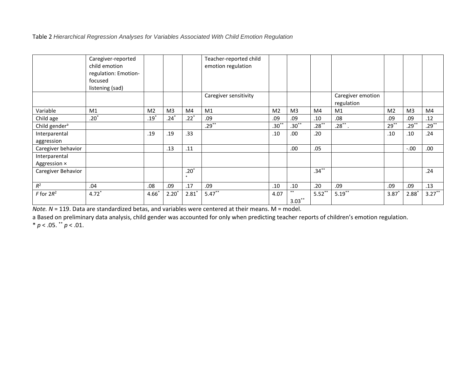Table 2 *Hierarchical Regression Analyses for Variables Associated With Child Emotion Regulation*

|                               | Caregiver-reported<br>child emotion |                |                |                   | Teacher-reported child<br>emotion regulation |                |                |           |                                 |                |                |           |
|-------------------------------|-------------------------------------|----------------|----------------|-------------------|----------------------------------------------|----------------|----------------|-----------|---------------------------------|----------------|----------------|-----------|
|                               | regulation: Emotion-                |                |                |                   |                                              |                |                |           |                                 |                |                |           |
|                               | focused                             |                |                |                   |                                              |                |                |           |                                 |                |                |           |
|                               | listening (sad)                     |                |                |                   |                                              |                |                |           |                                 |                |                |           |
|                               |                                     |                |                |                   | Caregiver sensitivity                        |                |                |           | Caregiver emotion<br>regulation |                |                |           |
| Variable                      | M1                                  | M <sub>2</sub> | M <sub>3</sub> | M4                | M1                                           | M <sub>2</sub> | M <sub>3</sub> | M4        | M1                              | M <sub>2</sub> | M <sub>3</sub> | M4        |
| Child age                     | $.20*$                              | $.19^*$        | $.24*$         | $.22*$            | .09                                          | .09            | .09            | .10       | .08                             | .09            | .09            | .12       |
| Child gender <sup>a</sup>     |                                     |                |                |                   | $.29***$                                     | $.30***$       | $.30***$       | $.28***$  | $.28$ **.                       | $29***$        | $.29***$       | $.29***$  |
| Interparental                 |                                     | .19            | .19            | .33               |                                              | .10            | .00.           | .20       |                                 | .10            | .10            | .24       |
| aggression                    |                                     |                |                |                   |                                              |                |                |           |                                 |                |                |           |
| Caregiver behavior            |                                     |                | .13            | .11               |                                              |                | .00            | .05       |                                 |                | $-.00$         | .00       |
| Interparental<br>Aggression × |                                     |                |                |                   |                                              |                |                |           |                                 |                |                |           |
| Caregiver Behavior            |                                     |                |                | $.20*$<br>$\star$ |                                              |                |                | $.34***$  |                                 |                |                | .24       |
| $R^2$                         | .04                                 | .08            | .09            | .17               | .09                                          | .10            | .10            | .20       | .09                             | .09            | .09            | .13       |
| $F$ for $2R^2$                | $4.72*$                             | $4.66*$        | $2.20*$        | $2.81*$           | $5.47***$                                    | 4.07           | $***$          | $5.52***$ | $5.19***$                       | $3.87*$        | $2.88*$        | $3.27***$ |
|                               |                                     |                |                |                   |                                              |                | $3.03***$      |           |                                 |                |                |           |

*Note. N* = 119. Data are standardized betas, and variables were centered at their means. M = model.

a Based on preliminary data analysis, child gender was accounted for only when predicting teacher reports of children's emotion regulation.

 $* p < .05.$   $* p < .01.$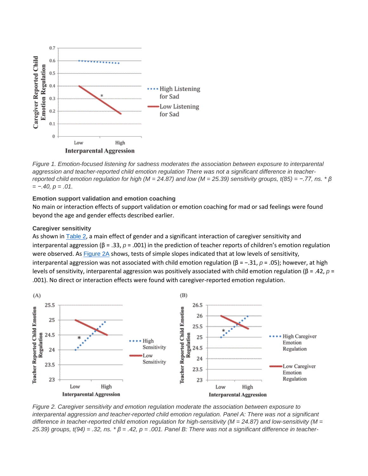

*Figure 1. Emotion-focused listening for sadness moderates the association between exposure to interparental aggression and teacher-reported child emotion regulation There was not a significant difference in teacher*reported child emotion regulation for high (M = 24.87) and low (M = 25.39) sensitivity groups, t(85) = -.77, ns.  $* \beta$ *= −.40, p = .01.*

#### **Emotion support validation and emotion coaching**

No main or interaction effects of support validation or emotion coaching for mad or sad feelings were found beyond the age and gender effects described earlier.

#### **Caregiver sensitivity**

As shown in [Table](https://0-web-b-ebscohost-com.libus.csd.mu.edu/ehost/detail/detail?vid=2&sid=a29294ee-f00b-43a6-801d-a7c51c710a13%40pdc-v-sessmgr04&bdata=JnNpdGU9ZWhvc3QtbGl2ZQ%3d%3d#tbl2) 2, a main effect of gender and a significant interaction of caregiver sensitivity and interparental aggression (β = .33, *p* = .001) in the prediction of teacher reports of children's emotion regulation were observed. As **[Figure](https://0-web-b-ebscohost-com.libus.csd.mu.edu/ehost/detail/detail?vid=2&sid=a29294ee-f00b-43a6-801d-a7c51c710a13%40pdc-v-sessmgr04&bdata=JnNpdGU9ZWhvc3QtbGl2ZQ%3d%3d#fig2) 2A** shows, tests of simple slopes indicated that at low levels of sensitivity, interparental aggression was not associated with child emotion regulation (β = −.31, *p* = .05); however, at high levels of sensitivity, interparental aggression was positively associated with child emotion regulation (β = .42, *p* = .001). No direct or interaction effects were found with caregiver-reported emotion regulation.



*Figure 2. Caregiver sensitivity and emotion regulation moderate the association between exposure to interparental aggression and teacher-reported child emotion regulation. Panel A: There was not a significant difference in teacher-reported child emotion regulation for high-sensitivity (M = 24.87) and low-sensitivity (M =* 25.39) groups,  $t(94) = .32$ , ns.  $*\beta = .42$ ,  $p = .001$ . Panel B: There was not a significant difference in teacher-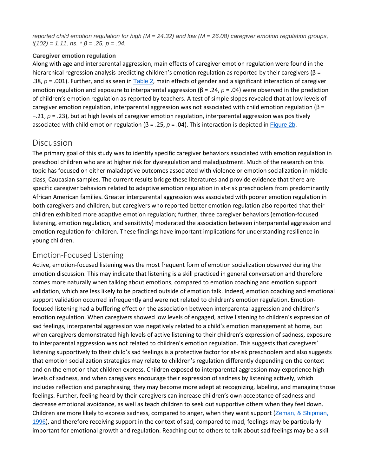reported child emotion regulation for high ( $M = 24.32$ ) and low ( $M = 26.08$ ) caregiver emotion regulation groups, *t(102) = 1.11, ns. \* β = .25, p = .04.*

#### **Caregiver emotion regulation**

Along with age and interparental aggression, main effects of caregiver emotion regulation were found in the hierarchical regression analysis predicting children's emotion regulation as reported by their caregivers (β = .38, *p* = .001). Further, and as seen in [Table](https://0-web-b-ebscohost-com.libus.csd.mu.edu/ehost/detail/detail?vid=2&sid=a29294ee-f00b-43a6-801d-a7c51c710a13%40pdc-v-sessmgr04&bdata=JnNpdGU9ZWhvc3QtbGl2ZQ%3d%3d#tbl2) 2, main effects of gender and a significant interaction of caregiver emotion regulation and exposure to interparental aggression (β = .24, *p* = .04) were observed in the prediction of children's emotion regulation as reported by teachers. A test of simple slopes revealed that at low levels of caregiver emotion regulation, interparental aggression was not associated with child emotion regulation (β = −.21, *p* = .23), but at high levels of caregiver emotion regulation, interparental aggression was positively associated with child emotion regulation (β = .25, *p* = .04). This interaction is depicted in [Figure](https://0-web-b-ebscohost-com.libus.csd.mu.edu/ehost/detail/detail?vid=2&sid=a29294ee-f00b-43a6-801d-a7c51c710a13%40pdc-v-sessmgr04&bdata=JnNpdGU9ZWhvc3QtbGl2ZQ%3d%3d#fig2) 2b.

## [Discussion](https://0-web-b-ebscohost-com.libus.csd.mu.edu/ehost/detail/detail?vid=2&sid=a29294ee-f00b-43a6-801d-a7c51c710a13%40pdc-v-sessmgr04&bdata=JnNpdGU9ZWhvc3QtbGl2ZQ%3d%3d#toc)

The primary goal of this study was to identify specific caregiver behaviors associated with emotion regulation in preschool children who are at higher risk for dysregulation and maladjustment. Much of the research on this topic has focused on either maladaptive outcomes associated with violence or emotion socialization in middleclass, Caucasian samples. The current results bridge these literatures and provide evidence that there are specific caregiver behaviors related to adaptive emotion regulation in at-risk preschoolers from predominantly African American families. Greater interparental aggression was associated with poorer emotion regulation in both caregivers and children, but caregivers who reported better emotion regulation also reported that their children exhibited more adaptive emotion regulation; further, three caregiver behaviors (emotion-focused listening, emotion regulation, and sensitivity) moderated the association between interparental aggression and emotion regulation for children. These findings have important implications for understanding resilience in young children.

## Emotion-Focused Listening

Active, emotion-focused listening was the most frequent form of emotion socialization observed during the emotion discussion. This may indicate that listening is a skill practiced in general conversation and therefore comes more naturally when talking about emotions, compared to emotion coaching and emotion support validation, which are less likely to be practiced outside of emotion talk. Indeed, emotion coaching and emotional support validation occurred infrequently and were not related to children's emotion regulation. Emotionfocused listening had a buffering effect on the association between interparental aggression and children's emotion regulation. When caregivers showed low levels of engaged, active listening to children's expression of sad feelings, interparental aggression was negatively related to a child's emotion management at home, but when caregivers demonstrated high levels of active listening to their children's expression of sadness, exposure to interparental aggression was not related to children's emotion regulation. This suggests that caregivers' listening supportively to their child's sad feelings is a protective factor for at-risk preschoolers and also suggests that emotion socialization strategies may relate to children's regulation differently depending on the context and on the emotion that children express. Children exposed to interparental aggression may experience high levels of sadness, and when caregivers encourage their expression of sadness by listening actively, which includes reflection and paraphrasing, they may become more adept at recognizing, labeling, and managing those feelings. Further, feeling heard by their caregivers can increase children's own acceptance of sadness and decrease emotional avoidance, as well as teach children to seek out supportive others when they feel down. Children are more likely to express sadness, compared to anger, when they want support (Zeman, & [Shipman,](https://0-web-b-ebscohost-com.libus.csd.mu.edu/ehost/detail/detail?vid=2&sid=a29294ee-f00b-43a6-801d-a7c51c710a13%40pdc-v-sessmgr04&bdata=JnNpdGU9ZWhvc3QtbGl2ZQ%3d%3d#c56) [1996](https://0-web-b-ebscohost-com.libus.csd.mu.edu/ehost/detail/detail?vid=2&sid=a29294ee-f00b-43a6-801d-a7c51c710a13%40pdc-v-sessmgr04&bdata=JnNpdGU9ZWhvc3QtbGl2ZQ%3d%3d#c56)), and therefore receiving support in the context of sad, compared to mad, feelings may be particularly important for emotional growth and regulation. Reaching out to others to talk about sad feelings may be a skill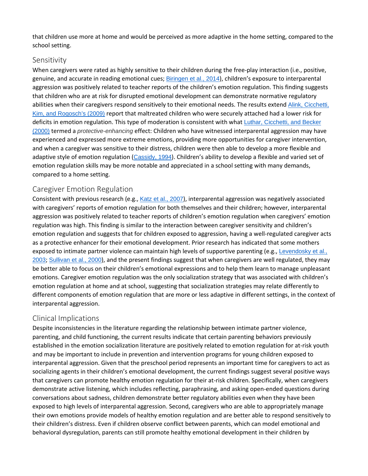that children use more at home and would be perceived as more adaptive in the home setting, compared to the school setting.

#### Sensitivity

When caregivers were rated as highly sensitive to their children during the free-play interaction (i.e., positive, genuine, and accurate in reading emotional cues; [Biringen](https://0-web-b-ebscohost-com.libus.csd.mu.edu/ehost/detail/detail?vid=2&sid=a29294ee-f00b-43a6-801d-a7c51c710a13%40pdc-v-sessmgr04&bdata=JnNpdGU9ZWhvc3QtbGl2ZQ%3d%3d#c7) et al., 2014), children's exposure to interparental aggression was positively related to teacher reports of the children's emotion regulation. This finding suggests that children who are at risk for disrupted emotional development can demonstrate normative regulatory abilities when their caregivers respond sensitively to their emotional needs. The results extend Alink, [Cicchetti,](https://0-web-b-ebscohost-com.libus.csd.mu.edu/ehost/detail/detail?vid=2&sid=a29294ee-f00b-43a6-801d-a7c51c710a13%40pdc-v-sessmgr04&bdata=JnNpdGU9ZWhvc3QtbGl2ZQ%3d%3d#c2) Kim, and [Rogosch's](https://0-web-b-ebscohost-com.libus.csd.mu.edu/ehost/detail/detail?vid=2&sid=a29294ee-f00b-43a6-801d-a7c51c710a13%40pdc-v-sessmgr04&bdata=JnNpdGU9ZWhvc3QtbGl2ZQ%3d%3d#c2) (2009) report that maltreated children who were securely attached had a lower risk for deficits in emotion regulation. This type of moderation is consistent with what Luthar, [Cicchetti,](https://0-web-b-ebscohost-com.libus.csd.mu.edu/ehost/detail/detail?vid=2&sid=a29294ee-f00b-43a6-801d-a7c51c710a13%40pdc-v-sessmgr04&bdata=JnNpdGU9ZWhvc3QtbGl2ZQ%3d%3d#c39) and Becker [\(2000\)](https://0-web-b-ebscohost-com.libus.csd.mu.edu/ehost/detail/detail?vid=2&sid=a29294ee-f00b-43a6-801d-a7c51c710a13%40pdc-v-sessmgr04&bdata=JnNpdGU9ZWhvc3QtbGl2ZQ%3d%3d#c39) termed a *protective-enhancing* effect: Children who have witnessed interparental aggression may have experienced and expressed more extreme emotions, providing more opportunities for caregiver intervention, and when a caregiver was sensitive to their distress, children were then able to develop a more flexible and adaptive style of emotion regulation ([Cassidy,](https://0-web-b-ebscohost-com.libus.csd.mu.edu/ehost/detail/detail?vid=2&sid=a29294ee-f00b-43a6-801d-a7c51c710a13%40pdc-v-sessmgr04&bdata=JnNpdGU9ZWhvc3QtbGl2ZQ%3d%3d#c13) 1994). Children's ability to develop a flexible and varied set of emotion regulation skills may be more notable and appreciated in a school setting with many demands, compared to a home setting.

## Caregiver Emotion Regulation

Consistent with previous research (e.g., Katz et al., [2007](https://0-web-b-ebscohost-com.libus.csd.mu.edu/ehost/detail/detail?vid=2&sid=a29294ee-f00b-43a6-801d-a7c51c710a13%40pdc-v-sessmgr04&bdata=JnNpdGU9ZWhvc3QtbGl2ZQ%3d%3d#c30)), interparental aggression was negatively associated with caregivers' reports of emotion regulation for both themselves and their children; however, interparental aggression was positively related to teacher reports of children's emotion regulation when caregivers' emotion regulation was high. This finding is similar to the interaction between caregiver sensitivity and children's emotion regulation and suggests that for children exposed to aggression, having a well-regulated caregiver acts as a protective enhancer for their emotional development. Prior research has indicated that some mothers exposed to intimate partner violence can maintain high levels of supportive parenting (e.g., [Levendosky](https://0-web-b-ebscohost-com.libus.csd.mu.edu/ehost/detail/detail?vid=2&sid=a29294ee-f00b-43a6-801d-a7c51c710a13%40pdc-v-sessmgr04&bdata=JnNpdGU9ZWhvc3QtbGl2ZQ%3d%3d#c37) et al., [2003](https://0-web-b-ebscohost-com.libus.csd.mu.edu/ehost/detail/detail?vid=2&sid=a29294ee-f00b-43a6-801d-a7c51c710a13%40pdc-v-sessmgr04&bdata=JnNpdGU9ZWhvc3QtbGl2ZQ%3d%3d#c37); [Sullivan](https://0-web-b-ebscohost-com.libus.csd.mu.edu/ehost/detail/detail?vid=2&sid=a29294ee-f00b-43a6-801d-a7c51c710a13%40pdc-v-sessmgr04&bdata=JnNpdGU9ZWhvc3QtbGl2ZQ%3d%3d#c52) et al., 2000), and the present findings suggest that when caregivers are well regulated, they may be better able to focus on their children's emotional expressions and to help them learn to manage unpleasant emotions. Caregiver emotion regulation was the only socialization strategy that was associated with children's emotion regulation at home and at school, suggesting that socialization strategies may relate differently to different components of emotion regulation that are more or less adaptive in different settings, in the context of interparental aggression.

## Clinical Implications

Despite inconsistencies in the literature regarding the relationship between intimate partner violence, parenting, and child functioning, the current results indicate that certain parenting behaviors previously established in the emotion socialization literature are positively related to emotion regulation for at-risk youth and may be important to include in prevention and intervention programs for young children exposed to interparental aggression. Given that the preschool period represents an important time for caregivers to act as socializing agents in their children's emotional development, the current findings suggest several positive ways that caregivers can promote healthy emotion regulation for their at-risk children. Specifically, when caregivers demonstrate active listening, which includes reflecting, paraphrasing, and asking open-ended questions during conversations about sadness, children demonstrate better regulatory abilities even when they have been exposed to high levels of interparental aggression. Second, caregivers who are able to appropriately manage their own emotions provide models of healthy emotion regulation and are better able to respond sensitively to their children's distress. Even if children observe conflict between parents, which can model emotional and behavioral dysregulation, parents can still promote healthy emotional development in their children by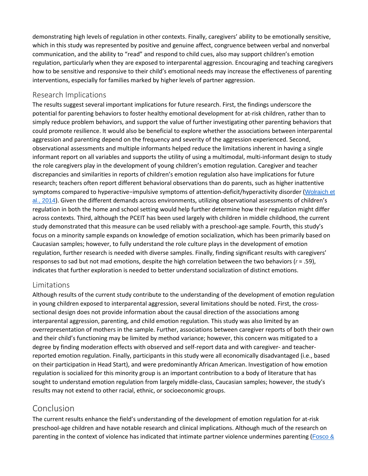demonstrating high levels of regulation in other contexts. Finally, caregivers' ability to be emotionally sensitive, which in this study was represented by positive and genuine affect, congruence between verbal and nonverbal communication, and the ability to "read" and respond to child cues, also may support children's emotion regulation, particularly when they are exposed to interparental aggression. Encouraging and teaching caregivers how to be sensitive and responsive to their child's emotional needs may increase the effectiveness of parenting interventions, especially for families marked by higher levels of partner aggression.

## Research Implications

The results suggest several important implications for future research. First, the findings underscore the potential for parenting behaviors to foster healthy emotional development for at-risk children, rather than to simply reduce problem behaviors, and support the value of further investigating other parenting behaviors that could promote resilience. It would also be beneficial to explore whether the associations between interparental aggression and parenting depend on the frequency and severity of the aggression experienced. Second, observational assessments and multiple informants helped reduce the limitations inherent in having a single informant report on all variables and supports the utility of using a multimodal, multi-informant design to study the role caregivers play in the development of young children's emotion regulation. Caregiver and teacher discrepancies and similarities in reports of children's emotion regulation also have implications for future research; teachers often report different behavioral observations than do parents, such as higher inattentive symptoms compared to hyperactive−impulsive symptoms of attention-deficit/hyperactivity disorder ([Wolraich](https://0-web-b-ebscohost-com.libus.csd.mu.edu/ehost/detail/detail?vid=2&sid=a29294ee-f00b-43a6-801d-a7c51c710a13%40pdc-v-sessmgr04&bdata=JnNpdGU9ZWhvc3QtbGl2ZQ%3d%3d#c61) et al., [2014](https://0-web-b-ebscohost-com.libus.csd.mu.edu/ehost/detail/detail?vid=2&sid=a29294ee-f00b-43a6-801d-a7c51c710a13%40pdc-v-sessmgr04&bdata=JnNpdGU9ZWhvc3QtbGl2ZQ%3d%3d#c61)). Given the different demands across environments, utilizing observational assessments of children's regulation in both the home and school setting would help further determine how their regulation might differ across contexts. Third, although the PCEIT has been used largely with children in middle childhood, the current study demonstrated that this measure can be used reliably with a preschool-age sample. Fourth, this study's focus on a minority sample expands on knowledge of emotion socialization, which has been primarily based on Caucasian samples; however, to fully understand the role culture plays in the development of emotion regulation, further research is needed with diverse samples. Finally, finding significant results with caregivers' responses to sad but not mad emotions, despite the high correlation between the two behaviors (*r* = .59), indicates that further exploration is needed to better understand socialization of distinct emotions.

## Limitations

Although results of the current study contribute to the understanding of the development of emotion regulation in young children exposed to interparental aggression, several limitations should be noted. First, the crosssectional design does not provide information about the causal direction of the associations among interparental aggression, parenting, and child emotion regulation. This study was also limited by an overrepresentation of mothers in the sample. Further, associations between caregiver reports of both their own and their child's functioning may be limited by method variance; however, this concern was mitigated to a degree by finding moderation effects with observed and self-report data and with caregiver- and teacherreported emotion regulation. Finally, participants in this study were all economically disadvantaged (i.e., based on their participation in Head Start), and were predominantly African American. Investigation of how emotion regulation is socialized for this minority group is an important contribution to a body of literature that has sought to understand emotion regulation from largely middle-class, Caucasian samples; however, the study's results may not extend to other racial, ethnic, or socioeconomic groups.

## Conclusion

The current results enhance the field's understanding of the development of emotion regulation for at-risk preschool-age children and have notable research and clinical implications. Although much of the research on parenting in the context of violence has indicated that intimate partner violence undermines parenting ([Fosco](https://0-web-b-ebscohost-com.libus.csd.mu.edu/ehost/detail/detail?vid=2&sid=a29294ee-f00b-43a6-801d-a7c51c710a13%40pdc-v-sessmgr04&bdata=JnNpdGU9ZWhvc3QtbGl2ZQ%3d%3d#c21) &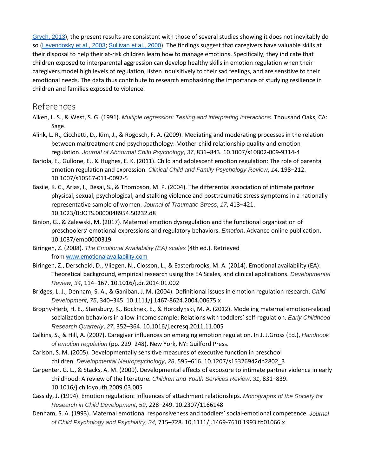[Grych,](https://0-web-b-ebscohost-com.libus.csd.mu.edu/ehost/detail/detail?vid=2&sid=a29294ee-f00b-43a6-801d-a7c51c710a13%40pdc-v-sessmgr04&bdata=JnNpdGU9ZWhvc3QtbGl2ZQ%3d%3d#c21) 2013), the present results are consistent with those of several studies showing it does not inevitably do so ([Levendosky](https://0-web-b-ebscohost-com.libus.csd.mu.edu/ehost/detail/detail?vid=2&sid=a29294ee-f00b-43a6-801d-a7c51c710a13%40pdc-v-sessmgr04&bdata=JnNpdGU9ZWhvc3QtbGl2ZQ%3d%3d#c37) et al., 2003; [Sullivan](https://0-web-b-ebscohost-com.libus.csd.mu.edu/ehost/detail/detail?vid=2&sid=a29294ee-f00b-43a6-801d-a7c51c710a13%40pdc-v-sessmgr04&bdata=JnNpdGU9ZWhvc3QtbGl2ZQ%3d%3d#c52) et al., 2000). The findings suggest that caregivers have valuable skills at their disposal to help their at-risk children learn how to manage emotions. Specifically, they indicate that children exposed to interparental aggression can develop healthy skills in emotion regulation when their caregivers model high levels of regulation, listen inquisitively to their sad feelings, and are sensitive to their emotional needs. The data thus contribute to research emphasizing the importance of studying resilience in children and families exposed to violence.

## [References](https://0-web-b-ebscohost-com.libus.csd.mu.edu/ehost/detail/detail?vid=2&sid=a29294ee-f00b-43a6-801d-a7c51c710a13%40pdc-v-sessmgr04&bdata=JnNpdGU9ZWhvc3QtbGl2ZQ%3d%3d#toc)

- Aiken, L. S., & West, S. G. (1991). *Multiple regression: Testing and interpreting interactions*. Thousand Oaks, CA: Sage.
- Alink, L. R., Cicchetti, D., Kim, J., & Rogosch, F. A. (2009). Mediating and moderating processes in the relation between maltreatment and psychopathology: Mother-child relationship quality and emotion regulation. *Journal of Abnormal Child Psychology*, *37*, 831–843. 10.1007/s10802-009-9314-4
- Bariola, E., Gullone, E., & Hughes, E. K. (2011). Child and adolescent emotion regulation: The role of parental emotion regulation and expression. *Clinical Child and Family Psychology Review*, *14*, 198–212. 10.1007/s10567-011-0092-5
- Basile, K. C., Arias, I., Desai, S., & Thompson, M. P. (2004). The differential association of intimate partner physical, sexual, psychological, and stalking violence and posttraumatic stress symptoms in a nationally representative sample of women. *Journal of Traumatic Stress*, *17*, 413–421. 10.1023/B:JOTS.0000048954.50232.d8
- Binion, G., & Zalewski, M. (2017). Maternal emotion dysregulation and the functional organization of preschoolers' emotional expressions and regulatory behaviors. *Emotion*. Advance online publication. 10.1037/emo0000319
- Biringen, Z. (2008). *The Emotional Availability (EA) scales* (4th ed.). Retrieved from [www.emotionalavailability.com](http://www.emotionalavailability.com/)
- Biringen, Z., Derscheid, D., Vliegen, N., Closson, L., & Easterbrooks, M. A. (2014). Emotional availability (EA): Theoretical background, empirical research using the EA Scales, and clinical applications. *Developmental Review*, *34*, 114–167. 10.1016/j.dr.2014.01.002
- Bridges, L. J., Denham, S. A., & Ganiban, J. M. (2004). Definitional issues in emotion regulation research. *Child Development*, *75*, 340–345. 10.1111/j.1467-8624.2004.00675.x
- Brophy-Herb, H. E., Stansbury, K., Bocknek, E., & Horodynski, M. A. (2012). Modeling maternal emotion-related socialization behaviors in a low-income sample: Relations with toddlers' self-regulation. *Early Childhood Research Quarterly*, *27*, 352–364. 10.1016/j.ecresq.2011.11.005
- Calkins, S., & Hill, A. (2007). Caregiver influences on emerging emotion regulation. In J. J.Gross (Ed.), *Handbook of emotion regulation* (pp. 229–248). New York, NY: Guilford Press.
- Carlson, S. M. (2005). Developmentally sensitive measures of executive function in preschool children. *Developmental Neuropsychology*, *28*, 595–616. 10.1207/s15326942dn2802\_3
- Carpenter, G. L., & Stacks, A. M. (2009). Developmental effects of exposure to intimate partner violence in early childhood: A review of the literature. *Children and Youth Services Review*, *31*, 831–839. 10.1016/j.childyouth.2009.03.005
- Cassidy, J. (1994). Emotion regulation: Influences of attachment relationships. *Monographs of the Society for Research in Child Development*, *59*, 228–249. 10.2307/1166148
- Denham, S. A. (1993). Maternal emotional responsiveness and toddlers' social-emotional competence. *Journal of Child Psychology and Psychiatry*, *34*, 715–728. 10.1111/j.1469-7610.1993.tb01066.x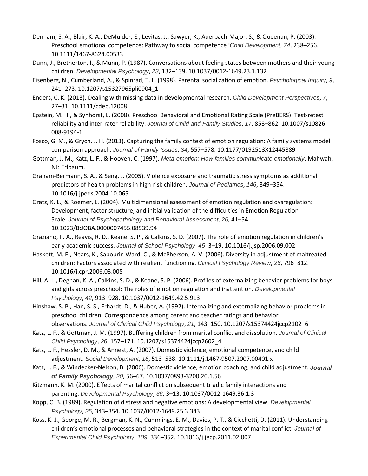- Denham, S. A., Blair, K. A., DeMulder, E., Levitas, J., Sawyer, K., Auerbach-Major, S., & Queenan, P. (2003). Preschool emotional competence: Pathway to social competence?*Child Development*, *74*, 238–256. 10.1111/1467-8624.00533
- Dunn, J., Bretherton, I., & Munn, P. (1987). Conversations about feeling states between mothers and their young children. *Developmental Psychology*, *23*, 132–139. 10.1037/0012-1649.23.1.132
- Eisenberg, N., Cumberland, A., & Spinrad, T. L. (1998). Parental socialization of emotion. *Psychological Inquiry*, *9*, 241–273. 10.1207/s15327965pli0904\_1
- Enders, C. K. (2013). Dealing with missing data in developmental research. *Child Development Perspectives*, *7*, 27–31. 10.1111/cdep.12008
- Epstein, M. H., & Synhorst, L. (2008). Preschool Behavioral and Emotional Rating Scale (PreBERS): Test-retest reliability and inter-rater reliability. *Journal of Child and Family Studies*, *17*, 853–862. 10.1007/s10826- 008-9194-1
- Fosco, G. M., & Grych, J. H. (2013). Capturing the family context of emotion regulation: A family systems model comparison approach. *Journal of Family Issues*, *34*, 557–578. 10.1177/0192513X12445889
- Gottman, J. M., Katz, L. F., & Hooven, C. (1997). *Meta-emotion: How families communicate emotionally*. Mahwah, NJ: Erlbaum.
- Graham-Bermann, S. A., & Seng, J. (2005). Violence exposure and traumatic stress symptoms as additional predictors of health problems in high-risk children. *Journal of Pediatrics*, *146*, 349–354. 10.1016/j.jpeds.2004.10.065
- Gratz, K. L., & Roemer, L. (2004). Multidimensional assessment of emotion regulation and dysregulation: Development, factor structure, and initial validation of the difficulties in Emotion Regulation Scale. *Journal of Psychopathology and Behavioral Assessment*, *26*, 41–54. 10.1023/B:JOBA.0000007455.08539.94
- Graziano, P. A., Reavis, R. D., Keane, S. P., & Calkins, S. D. (2007). The role of emotion regulation in children's early academic success. *Journal of School Psychology*, *45*, 3–19. 10.1016/j.jsp.2006.09.002
- Haskett, M. E., Nears, K., Sabourin Ward, C., & McPherson, A. V. (2006). Diversity in adjustment of maltreated children: Factors associated with resilient functioning. *Clinical Psychology Review*, *26*, 796–812. 10.1016/j.cpr.2006.03.005
- Hill, A. L., Degnan, K. A., Calkins, S. D., & Keane, S. P. (2006). Profiles of externalizing behavior problems for boys and girls across preschool: The roles of emotion regulation and inattention. *Developmental Psychology*, *42*, 913–928. 10.1037/0012-1649.42.5.913
- Hinshaw, S. P., Han, S. S., Erhardt, D., & Huber, A. (1992). Internalizing and externalizing behavior problems in preschool children: Correspondence among parent and teacher ratings and behavior observations. *Journal of Clinical Child Psychology*, *21*, 143–150. 10.1207/s15374424jccp2102\_6
- Katz, L. F., & Gottman, J. M. (1997). Buffering children from marital conflict and dissolution. *Journal of Clinical Child Psychology*, *26*, 157–171. 10.1207/s15374424jccp2602\_4
- Katz, L. F., Hessler, D. M., & Annest, A. (2007). Domestic violence, emotional competence, and child adjustment. *Social Development*, *16*, 513–538. 10.1111/j.1467-9507.2007.00401.x
- Katz, L. F., & Windecker-Nelson, B. (2006). Domestic violence, emotion coaching, and child adjustment. *Journal of Family Psychology*, *20*, 56–67. 10.1037/0893-3200.20.1.56
- Kitzmann, K. M. (2000). Effects of marital conflict on subsequent triadic family interactions and parenting. *Developmental Psychology*, *36*, 3–13. 10.1037/0012-1649.36.1.3
- Kopp, C. B. (1989). Regulation of distress and negative emotions: A developmental view. *Developmental Psychology*, *25*, 343–354. 10.1037/0012-1649.25.3.343
- Koss, K. J., George, M. R., Bergman, K. N., Cummings, E. M., Davies, P. T., & Cicchetti, D. (2011). Understanding children's emotional processes and behavioral strategies in the context of marital conflict. *Journal of Experimental Child Psychology*, *109*, 336–352. 10.1016/j.jecp.2011.02.007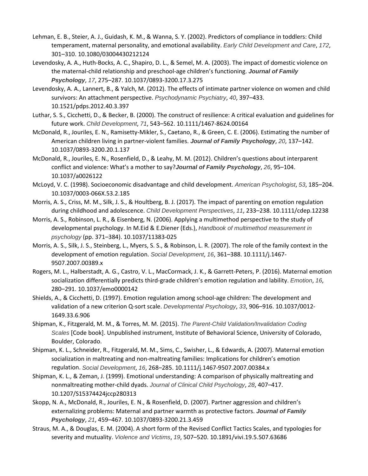- Lehman, E. B., Steier, A. J., Guidash, K. M., & Wanna, S. Y. (2002). Predictors of compliance in toddlers: Child temperament, maternal personality, and emotional availability. *Early Child Development and Care*, *172*, 301–310. 10.1080/03004430212124
- Levendosky, A. A., Huth-Bocks, A. C., Shapiro, D. L., & Semel, M. A. (2003). The impact of domestic violence on the maternal-child relationship and preschool-age children's functioning. *Journal of Family Psychology*, *17*, 275–287. 10.1037/0893-3200.17.3.275
- Levendosky, A. A., Lannert, B., & Yalch, M. (2012). The effects of intimate partner violence on women and child survivors: An attachment perspective. *Psychodynamic Psychiatry*, *40*, 397–433. 10.1521/pdps.2012.40.3.397
- Luthar, S. S., Cicchetti, D., & Becker, B. (2000). The construct of resilience: A critical evaluation and guidelines for future work. *Child Development*, *71*, 543–562. 10.1111/1467-8624.00164
- McDonald, R., Jouriles, E. N., Ramisetty-Mikler, S., Caetano, R., & Green, C. E. (2006). Estimating the number of American children living in partner-violent families. *Journal of Family Psychology*, *20*, 137–142. 10.1037/0893-3200.20.1.137
- McDonald, R., Jouriles, E. N., Rosenfield, D., & Leahy, M. M. (2012). Children's questions about interparent conflict and violence: What's a mother to say?*Journal of Family Psychology*, *26*, 95–104. 10.1037/a0026122
- McLoyd, V. C. (1998). Socioeconomic disadvantage and child development. *American Psychologist*, *53*, 185–204. 10.1037/0003-066X.53.2.185
- Morris, A. S., Criss, M. M., Silk, J. S., & Houltberg, B. J. (2017). The impact of parenting on emotion regulation during childhood and adolescence. *Child Development Perspectives*, *11*, 233–238. 10.1111/cdep.12238
- Morris, A. S., Robinson, L. R., & Eisenberg, N. (2006). Applying a multimethod perspective to the study of developmental psychology. In M.Eid & E.Diener (Eds.), *Handbook of multimethod measurement in psychology* (pp. 371–384). 10.1037/11383-025
- Morris, A. S., Silk, J. S., Steinberg, L., Myers, S. S., & Robinson, L. R. (2007). The role of the family context in the development of emotion regulation. *Social Development*, *16*, 361–388. 10.1111/j.1467- 9507.2007.00389.x
- Rogers, M. L., Halberstadt, A. G., Castro, V. L., MacCormack, J. K., & Garrett-Peters, P. (2016). Maternal emotion socialization differentially predicts third-grade children's emotion regulation and lability. *Emotion*, *16*, 280–291. 10.1037/emo0000142
- Shields, A., & Cicchetti, D. (1997). Emotion regulation among school-age children: The development and validation of a new criterion Q-sort scale. *Developmental Psychology*, *33*, 906–916. 10.1037/0012- 1649.33.6.906
- Shipman, K., Fitzgerald, M. M., & Torres, M. M. (2015). *The Parent-Child Validation/Invalidation Coding Scales* [Code book]. Unpublished instrument, Institute of Behavioral Science, University of Colorado, Boulder, Colorado.
- Shipman, K. L., Schneider, R., Fitzgerald, M. M., Sims, C., Swisher, L., & Edwards, A. (2007). Maternal emotion socialization in maltreating and non-maltreating families: Implications for children's emotion regulation. *Social Development*, *16*, 268–285. 10.1111/j.1467-9507.2007.00384.x
- Shipman, K. L., & Zeman, J. (1999). Emotional understanding: A comparison of physically maltreating and nonmaltreating mother-child dyads. *Journal of Clinical Child Psychology*, *28*, 407–417. 10.1207/S15374424jccp280313
- Skopp, N. A., McDonald, R., Jouriles, E. N., & Rosenfield, D. (2007). Partner aggression and children's externalizing problems: Maternal and partner warmth as protective factors. *Journal of Family Psychology*, *21*, 459–467. 10.1037/0893-3200.21.3.459
- Straus, M. A., & Douglas, E. M. (2004). A short form of the Revised Conflict Tactics Scales, and typologies for severity and mutuality. *Violence and Victims*, *19*, 507–520. 10.1891/vivi.19.5.507.63686